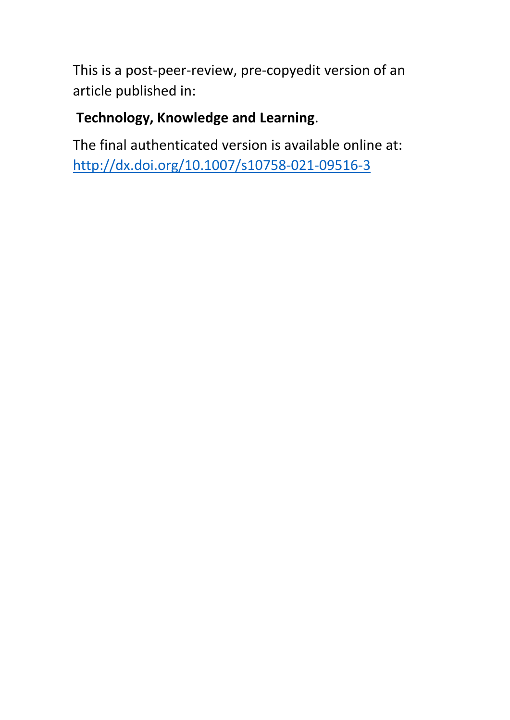This is a post-peer-review, pre-copyedit version of an article published in:

## **Technology, Knowledge and Learning**.

The final authenticated version is available online at: <http://dx.doi.org/10.1007/s10758-021-09516-3>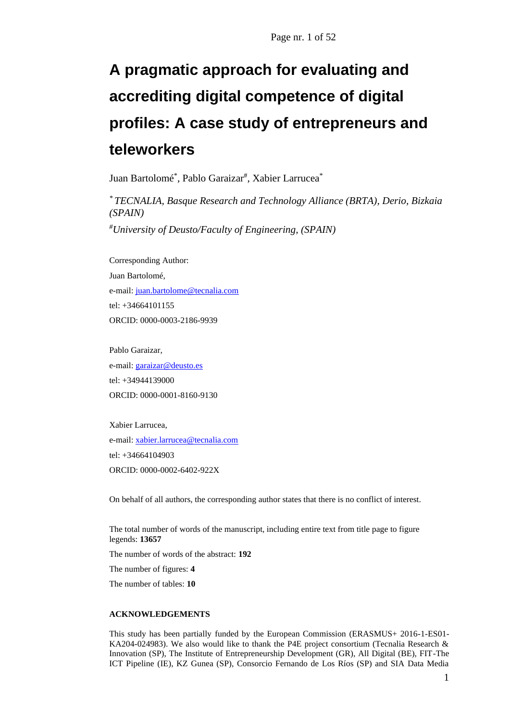# **A pragmatic approach for evaluating and accrediting digital competence of digital profiles: A case study of entrepreneurs and teleworkers**

Juan Bartolomé\* , Pablo Garaizar# , Xabier Larrucea\*

*\* TECNALIA, Basque Research and Technology Alliance (BRTA), Derio, Bizkaia (SPAIN)*

*#University of Deusto/Faculty of Engineering, (SPAIN)*

Corresponding Author: Juan Bartolomé, e-mail: [juan.bartolome@tecnalia.com](mailto:juan.bartolome@tecnalia.com) tel: +34664101155 ORCID: 0000-0003-2186-9939

Pablo Garaizar, e-mail: [garaizar@deusto.es](mailto:garaizar@deusto.es) tel: +34944139000 ORCID: 0000-0001-8160-9130

Xabier Larrucea, e-mail: [xabier.larrucea@tecnalia.com](mailto:xabier.larrucea@tecnalia.com) tel: +34664104903 ORCID: 0000-0002-6402-922X

On behalf of all authors, the corresponding author states that there is no conflict of interest.

The total number of words of the manuscript, including entire text from title page to figure legends: **13657**

The number of words of the abstract: **192**

The number of figures: **4**

The number of tables: **10**

#### **ACKNOWLEDGEMENTS**

This study has been partially funded by the European Commission (ERASMUS+ 2016-1-ES01- KA204-024983). We also would like to thank the P4E project consortium (Tecnalia Research & Innovation (SP), The Institute of Entrepreneurship Development (GR), All Digital (BE), FIT-The ICT Pipeline (IE), KZ Gunea (SP), Consorcio Fernando de Los Ríos (SP) and SIA Data Media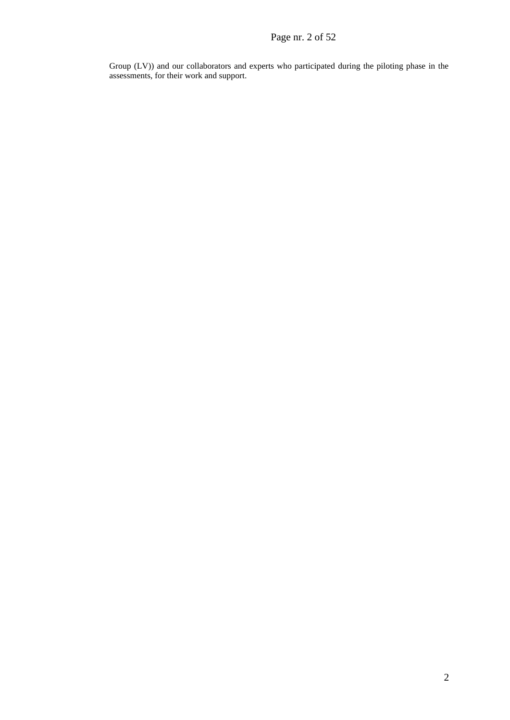Group (LV)) and our collaborators and experts who participated during the piloting phase in the assessments, for their work and support.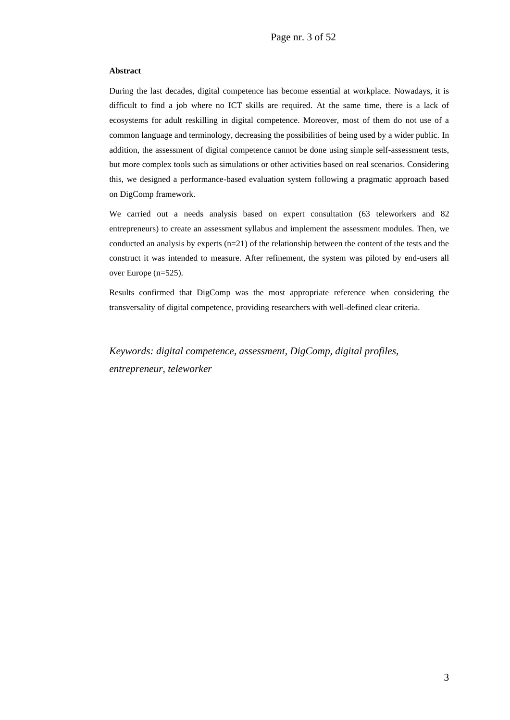#### **Abstract**

During the last decades, digital competence has become essential at workplace. Nowadays, it is difficult to find a job where no ICT skills are required. At the same time, there is a lack of ecosystems for adult reskilling in digital competence. Moreover, most of them do not use of a common language and terminology, decreasing the possibilities of being used by a wider public. In addition, the assessment of digital competence cannot be done using simple self-assessment tests, but more complex tools such as simulations or other activities based on real scenarios. Considering this, we designed a performance-based evaluation system following a pragmatic approach based on DigComp framework.

We carried out a needs analysis based on expert consultation (63 teleworkers and 82 entrepreneurs) to create an assessment syllabus and implement the assessment modules. Then, we conducted an analysis by experts (n=21) of the relationship between the content of the tests and the construct it was intended to measure. After refinement, the system was piloted by end-users all over Europe (n=525).

Results confirmed that DigComp was the most appropriate reference when considering the transversality of digital competence, providing researchers with well-defined clear criteria.

*Keywords: digital competence, assessment, DigComp, digital profiles, entrepreneur, teleworker*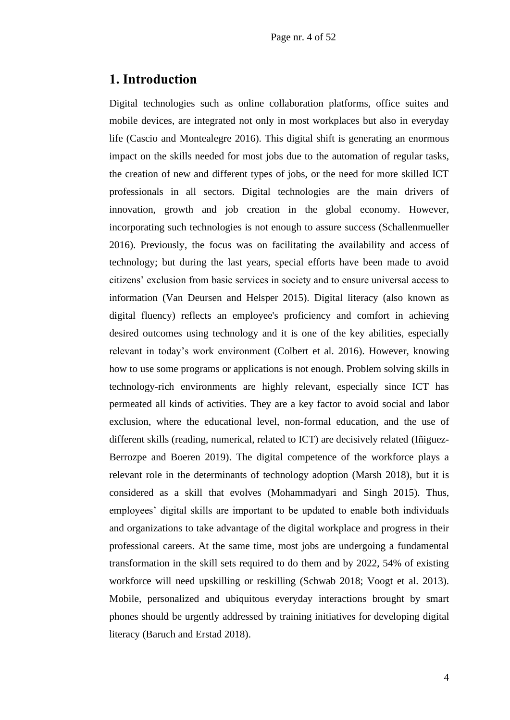### **1. Introduction**

Digital technologies such as online collaboration platforms, office suites and mobile devices, are integrated not only in most workplaces but also in everyday life (Cascio and Montealegre 2016). This digital shift is generating an enormous impact on the skills needed for most jobs due to the automation of regular tasks, the creation of new and different types of jobs, or the need for more skilled ICT professionals in all sectors. Digital technologies are the main drivers of innovation, growth and job creation in the global economy. However, incorporating such technologies is not enough to assure success (Schallenmueller 2016). Previously, the focus was on facilitating the availability and access of technology; but during the last years, special efforts have been made to avoid citizens' exclusion from basic services in society and to ensure universal access to information (Van Deursen and Helsper 2015). Digital literacy (also known as digital fluency) reflects an employee's proficiency and comfort in achieving desired outcomes using technology and it is one of the key abilities, especially relevant in today's work environment (Colbert et al. 2016). However, knowing how to use some programs or applications is not enough. Problem solving skills in technology-rich environments are highly relevant, especially since ICT has permeated all kinds of activities. They are a key factor to avoid social and labor exclusion, where the educational level, non-formal education, and the use of different skills (reading, numerical, related to ICT) are decisively related (Iñiguez-Berrozpe and Boeren 2019). The digital competence of the workforce plays a relevant role in the determinants of technology adoption (Marsh 2018), but it is considered as a skill that evolves (Mohammadyari and Singh 2015). Thus, employees' digital skills are important to be updated to enable both individuals and organizations to take advantage of the digital workplace and progress in their professional careers. At the same time, most jobs are undergoing a fundamental transformation in the skill sets required to do them and by 2022, 54% of existing workforce will need upskilling or reskilling (Schwab 2018; Voogt et al. 2013). Mobile, personalized and ubiquitous everyday interactions brought by smart phones should be urgently addressed by training initiatives for developing digital literacy (Baruch and Erstad 2018).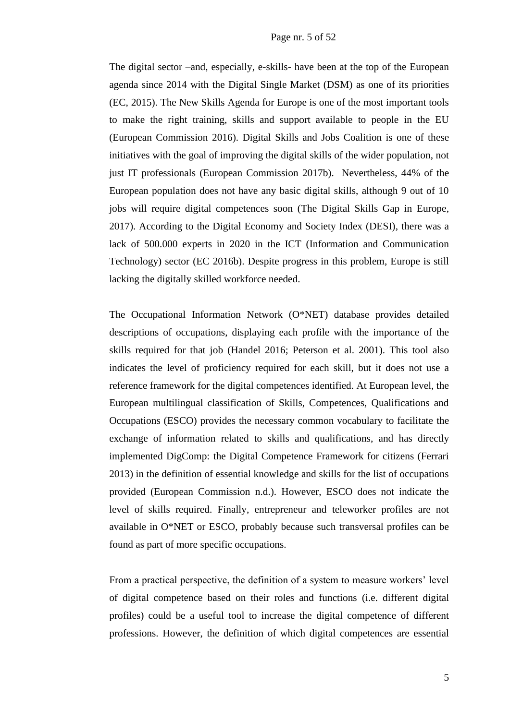The digital sector –and, especially, e-skills- have been at the top of the European agenda since 2014 with the Digital Single Market (DSM) as one of its priorities (EC, 2015). The New Skills Agenda for Europe is one of the most important tools to make the right training, skills and support available to people in the EU (European Commission 2016). Digital Skills and Jobs Coalition is one of these initiatives with the goal of improving the digital skills of the wider population, not just IT professionals (European Commission 2017b). Nevertheless, 44% of the European population does not have any basic digital skills, although 9 out of 10 jobs will require digital competences soon (The Digital Skills Gap in Europe, 2017). According to the Digital Economy and Society Index (DESI), there was a lack of 500.000 experts in 2020 in the ICT (Information and Communication Technology) sector (EC 2016b). Despite progress in this problem, Europe is still lacking the digitally skilled workforce needed.

The Occupational Information Network (O\*NET) database provides detailed descriptions of occupations, displaying each profile with the importance of the skills required for that job (Handel 2016; Peterson et al. 2001). This tool also indicates the level of proficiency required for each skill, but it does not use a reference framework for the digital competences identified. At European level, the European multilingual classification of Skills, Competences, Qualifications and Occupations (ESCO) provides the necessary common vocabulary to facilitate the exchange of information related to skills and qualifications, and has directly implemented DigComp: the Digital Competence Framework for citizens (Ferrari 2013) in the definition of essential knowledge and skills for the list of occupations provided (European Commission n.d.). However, ESCO does not indicate the level of skills required. Finally, entrepreneur and teleworker profiles are not available in O\*NET or ESCO, probably because such transversal profiles can be found as part of more specific occupations.

From a practical perspective, the definition of a system to measure workers' level of digital competence based on their roles and functions (i.e. different digital profiles) could be a useful tool to increase the digital competence of different professions. However, the definition of which digital competences are essential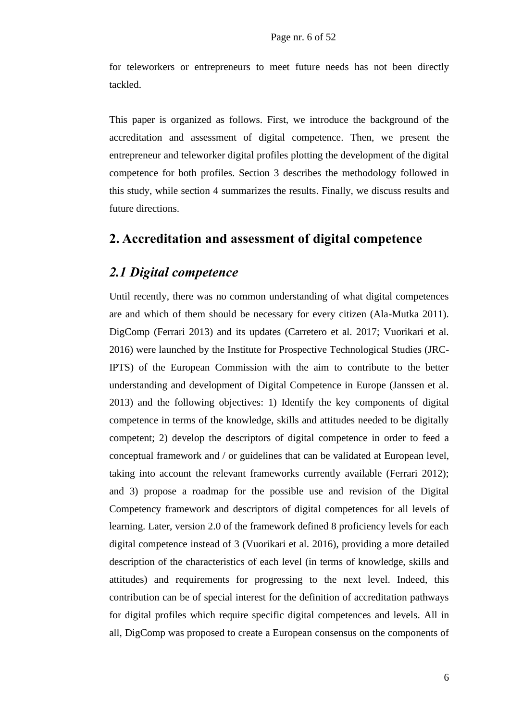for teleworkers or entrepreneurs to meet future needs has not been directly tackled.

This paper is organized as follows. First, we introduce the background of the accreditation and assessment of digital competence. Then, we present the entrepreneur and teleworker digital profiles plotting the development of the digital competence for both profiles. Section 3 describes the methodology followed in this study, while section 4 summarizes the results. Finally, we discuss results and future directions.

### **2. Accreditation and assessment of digital competence**

### *2.1 Digital competence*

Until recently, there was no common understanding of what digital competences are and which of them should be necessary for every citizen (Ala-Mutka 2011). DigComp (Ferrari 2013) and its updates (Carretero et al. 2017; Vuorikari et al. 2016) were launched by the Institute for Prospective Technological Studies (JRC-IPTS) of the European Commission with the aim to contribute to the better understanding and development of Digital Competence in Europe (Janssen et al. 2013) and the following objectives: 1) Identify the key components of digital competence in terms of the knowledge, skills and attitudes needed to be digitally competent; 2) develop the descriptors of digital competence in order to feed a conceptual framework and / or guidelines that can be validated at European level, taking into account the relevant frameworks currently available (Ferrari 2012); and 3) propose a roadmap for the possible use and revision of the Digital Competency framework and descriptors of digital competences for all levels of learning. Later, version 2.0 of the framework defined 8 proficiency levels for each digital competence instead of 3 (Vuorikari et al. 2016), providing a more detailed description of the characteristics of each level (in terms of knowledge, skills and attitudes) and requirements for progressing to the next level. Indeed, this contribution can be of special interest for the definition of accreditation pathways for digital profiles which require specific digital competences and levels. All in all, DigComp was proposed to create a European consensus on the components of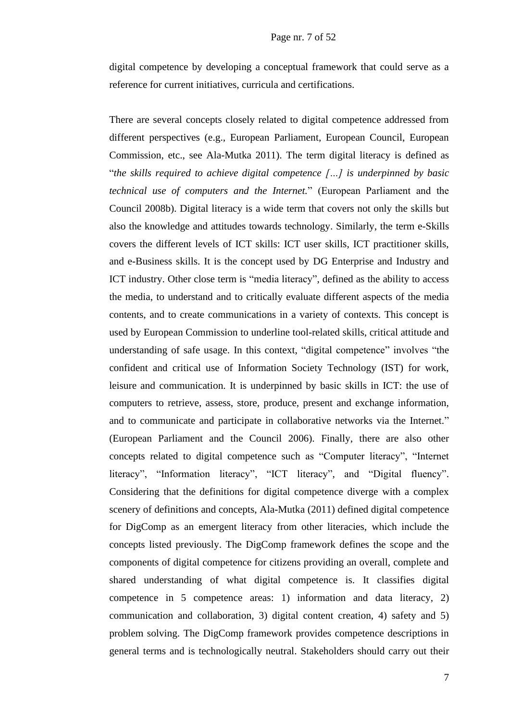digital competence by developing a conceptual framework that could serve as a reference for current initiatives, curricula and certifications.

There are several concepts closely related to digital competence addressed from different perspectives (e.g., European Parliament, European Council, European Commission, etc., see Ala-Mutka 2011). The term digital literacy is defined as "*the skills required to achieve digital competence […] is underpinned by basic technical use of computers and the Internet.*" (European Parliament and the Council 2008b). Digital literacy is a wide term that covers not only the skills but also the knowledge and attitudes towards technology. Similarly, the term e-Skills covers the different levels of ICT skills: ICT user skills, ICT practitioner skills, and e-Business skills. It is the concept used by DG Enterprise and Industry and ICT industry. Other close term is "media literacy", defined as the ability to access the media, to understand and to critically evaluate different aspects of the media contents, and to create communications in a variety of contexts. This concept is used by European Commission to underline tool-related skills, critical attitude and understanding of safe usage. In this context, "digital competence" involves "the confident and critical use of Information Society Technology (IST) for work, leisure and communication. It is underpinned by basic skills in ICT: the use of computers to retrieve, assess, store, produce, present and exchange information, and to communicate and participate in collaborative networks via the Internet." (European Parliament and the Council 2006). Finally, there are also other concepts related to digital competence such as "Computer literacy", "Internet literacy", "Information literacy", "ICT literacy", and "Digital fluency". Considering that the definitions for digital competence diverge with a complex scenery of definitions and concepts, Ala-Mutka (2011) defined digital competence for DigComp as an emergent literacy from other literacies, which include the concepts listed previously. The DigComp framework defines the scope and the components of digital competence for citizens providing an overall, complete and shared understanding of what digital competence is. It classifies digital competence in 5 competence areas: 1) information and data literacy, 2) communication and collaboration, 3) digital content creation, 4) safety and 5) problem solving. The DigComp framework provides competence descriptions in general terms and is technologically neutral. Stakeholders should carry out their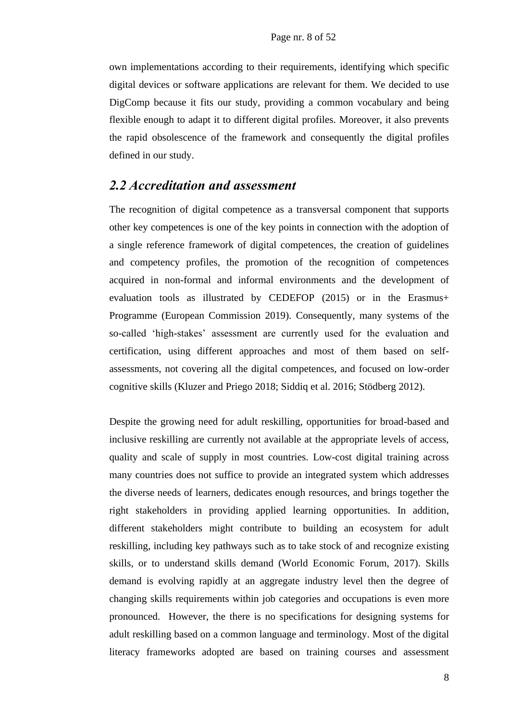own implementations according to their requirements, identifying which specific digital devices or software applications are relevant for them. We decided to use DigComp because it fits our study, providing a common vocabulary and being flexible enough to adapt it to different digital profiles. Moreover, it also prevents the rapid obsolescence of the framework and consequently the digital profiles defined in our study.

### *2.2 Accreditation and assessment*

The recognition of digital competence as a transversal component that supports other key competences is one of the key points in connection with the adoption of a single reference framework of digital competences, the creation of guidelines and competency profiles, the promotion of the recognition of competences acquired in non-formal and informal environments and the development of evaluation tools as illustrated by CEDEFOP (2015) or in the Erasmus+ Programme (European Commission 2019). Consequently, many systems of the so-called 'high-stakes' assessment are currently used for the evaluation and certification, using different approaches and most of them based on selfassessments, not covering all the digital competences, and focused on low-order cognitive skills (Kluzer and Priego 2018; Siddiq et al. 2016; Stödberg 2012).

Despite the growing need for adult reskilling, opportunities for broad-based and inclusive reskilling are currently not available at the appropriate levels of access, quality and scale of supply in most countries. Low-cost digital training across many countries does not suffice to provide an integrated system which addresses the diverse needs of learners, dedicates enough resources, and brings together the right stakeholders in providing applied learning opportunities. In addition, different stakeholders might contribute to building an ecosystem for adult reskilling, including key pathways such as to take stock of and recognize existing skills, or to understand skills demand (World Economic Forum, 2017). Skills demand is evolving rapidly at an aggregate industry level then the degree of changing skills requirements within job categories and occupations is even more pronounced. However, the there is no specifications for designing systems for adult reskilling based on a common language and terminology. Most of the digital literacy frameworks adopted are based on training courses and assessment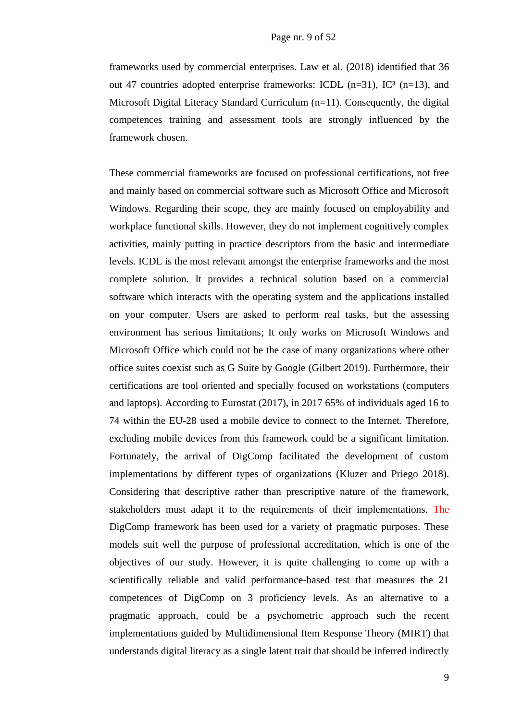frameworks used by commercial enterprises. Law et al. (2018) identified that 36 out 47 countries adopted enterprise frameworks: ICDL  $(n=31)$ , IC<sup>3</sup>  $(n=13)$ , and Microsoft Digital Literacy Standard Curriculum (n=11). Consequently, the digital competences training and assessment tools are strongly influenced by the framework chosen.

These commercial frameworks are focused on professional certifications, not free and mainly based on commercial software such as Microsoft Office and Microsoft Windows. Regarding their scope, they are mainly focused on employability and workplace functional skills. However, they do not implement cognitively complex activities, mainly putting in practice descriptors from the basic and intermediate levels. ICDL is the most relevant amongst the enterprise frameworks and the most complete solution. It provides a technical solution based on a commercial software which interacts with the operating system and the applications installed on your computer. Users are asked to perform real tasks, but the assessing environment has serious limitations; It only works on Microsoft Windows and Microsoft Office which could not be the case of many organizations where other office suites coexist such as G Suite by Google (Gilbert 2019). Furthermore, their certifications are tool oriented and specially focused on workstations (computers and laptops). According to Eurostat (2017), in 2017 65% of individuals aged 16 to 74 within the EU-28 used a mobile device to connect to the Internet. Therefore, excluding mobile devices from this framework could be a significant limitation. Fortunately, the arrival of DigComp facilitated the development of custom implementations by different types of organizations (Kluzer and Priego 2018). Considering that descriptive rather than prescriptive nature of the framework, stakeholders must adapt it to the requirements of their implementations. The DigComp framework has been used for a variety of pragmatic purposes. These models suit well the purpose of professional accreditation, which is one of the objectives of our study. However, it is quite challenging to come up with a scientifically reliable and valid performance-based test that measures the 21 competences of DigComp on 3 proficiency levels. As an alternative to a pragmatic approach, could be a psychometric approach such the recent implementations guided by Multidimensional Item Response Theory (MIRT) that understands digital literacy as a single latent trait that should be inferred indirectly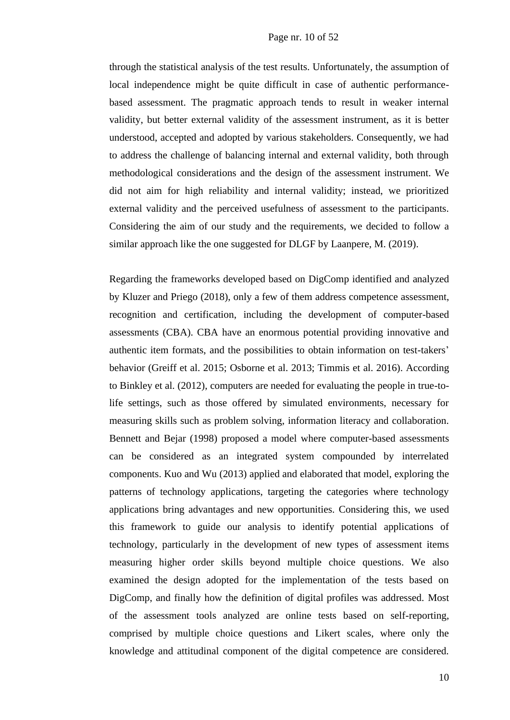through the statistical analysis of the test results. Unfortunately, the assumption of local independence might be quite difficult in case of authentic performancebased assessment. The pragmatic approach tends to result in weaker internal validity, but better external validity of the assessment instrument, as it is better understood, accepted and adopted by various stakeholders. Consequently, we had to address the challenge of balancing internal and external validity, both through methodological considerations and the design of the assessment instrument. We did not aim for high reliability and internal validity; instead, we prioritized external validity and the perceived usefulness of assessment to the participants. Considering the aim of our study and the requirements, we decided to follow a similar approach like the one suggested for DLGF by Laanpere, M. (2019).

Regarding the frameworks developed based on DigComp identified and analyzed by Kluzer and Priego (2018), only a few of them address competence assessment, recognition and certification, including the development of computer-based assessments (CBA). CBA have an enormous potential providing innovative and authentic item formats, and the possibilities to obtain information on test-takers' behavior (Greiff et al. 2015; Osborne et al. 2013; Timmis et al. 2016). According to Binkley et al. (2012), computers are needed for evaluating the people in true-tolife settings, such as those offered by simulated environments, necessary for measuring skills such as problem solving, information literacy and collaboration. Bennett and Bejar (1998) proposed a model where computer-based assessments can be considered as an integrated system compounded by interrelated components. Kuo and Wu (2013) applied and elaborated that model, exploring the patterns of technology applications, targeting the categories where technology applications bring advantages and new opportunities. Considering this, we used this framework to guide our analysis to identify potential applications of technology, particularly in the development of new types of assessment items measuring higher order skills beyond multiple choice questions. We also examined the design adopted for the implementation of the tests based on DigComp, and finally how the definition of digital profiles was addressed. Most of the assessment tools analyzed are online tests based on self-reporting, comprised by multiple choice questions and Likert scales, where only the knowledge and attitudinal component of the digital competence are considered.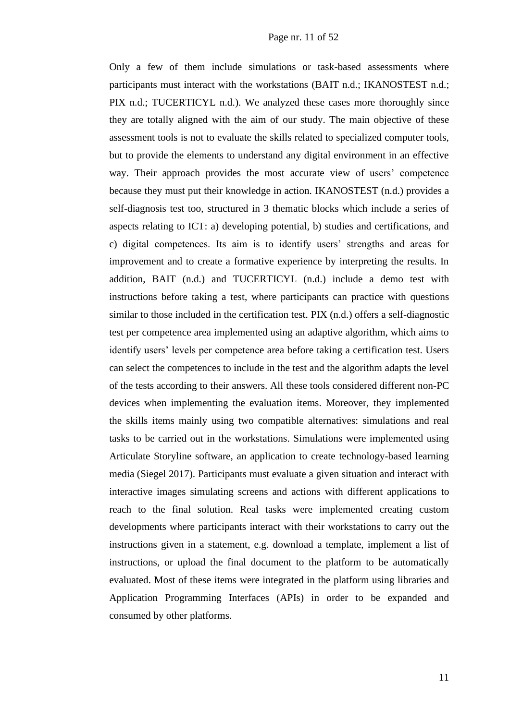Only a few of them include simulations or task-based assessments where participants must interact with the workstations (BAIT n.d.; IKANOSTEST n.d.; PIX n.d.; TUCERTICYL n.d.). We analyzed these cases more thoroughly since they are totally aligned with the aim of our study. The main objective of these assessment tools is not to evaluate the skills related to specialized computer tools, but to provide the elements to understand any digital environment in an effective way. Their approach provides the most accurate view of users' competence because they must put their knowledge in action. IKANOSTEST (n.d.) provides a self-diagnosis test too, structured in 3 thematic blocks which include a series of aspects relating to ICT: a) developing potential, b) studies and certifications, and c) digital competences. Its aim is to identify users' strengths and areas for improvement and to create a formative experience by interpreting the results. In addition, BAIT (n.d.) and TUCERTICYL (n.d.) include a demo test with instructions before taking a test, where participants can practice with questions similar to those included in the certification test. PIX (n.d.) offers a self-diagnostic test per competence area implemented using an adaptive algorithm, which aims to identify users' levels per competence area before taking a certification test. Users can select the competences to include in the test and the algorithm adapts the level of the tests according to their answers. All these tools considered different non-PC devices when implementing the evaluation items. Moreover, they implemented the skills items mainly using two compatible alternatives: simulations and real tasks to be carried out in the workstations. Simulations were implemented using Articulate Storyline software, an application to create technology-based learning media (Siegel 2017). Participants must evaluate a given situation and interact with interactive images simulating screens and actions with different applications to reach to the final solution. Real tasks were implemented creating custom developments where participants interact with their workstations to carry out the instructions given in a statement, e.g. download a template, implement a list of instructions, or upload the final document to the platform to be automatically evaluated. Most of these items were integrated in the platform using libraries and Application Programming Interfaces (APIs) in order to be expanded and consumed by other platforms.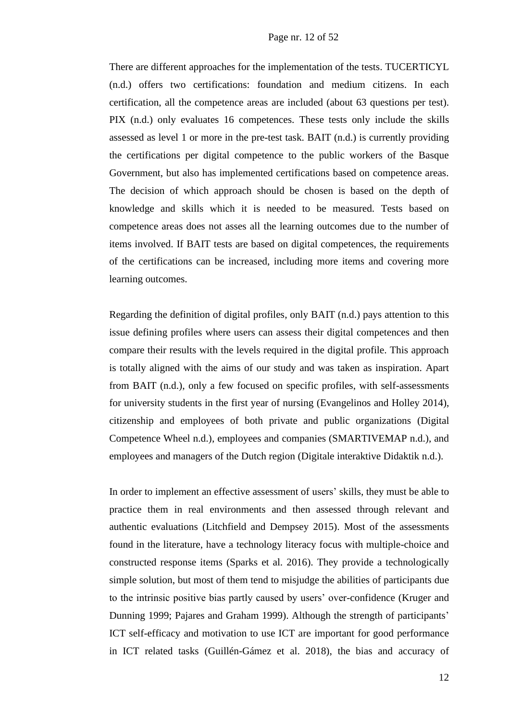There are different approaches for the implementation of the tests. TUCERTICYL (n.d.) offers two certifications: foundation and medium citizens. In each certification, all the competence areas are included (about 63 questions per test). PIX (n.d.) only evaluates 16 competences. These tests only include the skills assessed as level 1 or more in the pre-test task. BAIT (n.d.) is currently providing the certifications per digital competence to the public workers of the Basque Government, but also has implemented certifications based on competence areas. The decision of which approach should be chosen is based on the depth of knowledge and skills which it is needed to be measured. Tests based on competence areas does not asses all the learning outcomes due to the number of items involved. If BAIT tests are based on digital competences, the requirements of the certifications can be increased, including more items and covering more learning outcomes.

Regarding the definition of digital profiles, only BAIT (n.d.) pays attention to this issue defining profiles where users can assess their digital competences and then compare their results with the levels required in the digital profile. This approach is totally aligned with the aims of our study and was taken as inspiration. Apart from BAIT (n.d.), only a few focused on specific profiles, with self-assessments for university students in the first year of nursing (Evangelinos and Holley 2014), citizenship and employees of both private and public organizations (Digital Competence Wheel n.d.), employees and companies (SMARTIVEMAP n.d.), and employees and managers of the Dutch region (Digitale interaktive Didaktik n.d.).

In order to implement an effective assessment of users' skills, they must be able to practice them in real environments and then assessed through relevant and authentic evaluations (Litchfield and Dempsey 2015). Most of the assessments found in the literature, have a technology literacy focus with multiple-choice and constructed response items (Sparks et al. 2016). They provide a technologically simple solution, but most of them tend to misjudge the abilities of participants due to the intrinsic positive bias partly caused by users' over-confidence (Kruger and Dunning 1999; Pajares and Graham 1999). Although the strength of participants' ICT self-efficacy and motivation to use ICT are important for good performance in ICT related tasks (Guillén-Gámez et al. 2018), the bias and accuracy of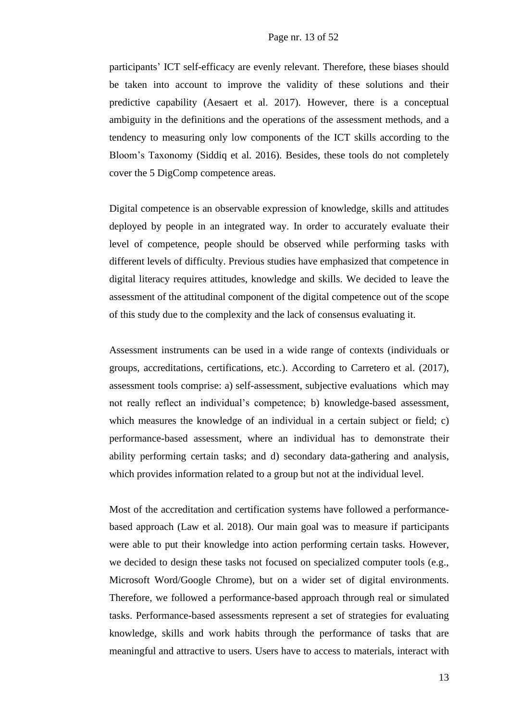participants' ICT self-efficacy are evenly relevant. Therefore, these biases should be taken into account to improve the validity of these solutions and their predictive capability (Aesaert et al. 2017). However, there is a conceptual ambiguity in the definitions and the operations of the assessment methods, and a tendency to measuring only low components of the ICT skills according to the Bloom's Taxonomy (Siddiq et al. 2016). Besides, these tools do not completely cover the 5 DigComp competence areas.

Digital competence is an observable expression of knowledge, skills and attitudes deployed by people in an integrated way. In order to accurately evaluate their level of competence, people should be observed while performing tasks with different levels of difficulty. Previous studies have emphasized that competence in digital literacy requires attitudes, knowledge and skills. We decided to leave the assessment of the attitudinal component of the digital competence out of the scope of this study due to the complexity and the lack of consensus evaluating it.

Assessment instruments can be used in a wide range of contexts (individuals or groups, accreditations, certifications, etc.). According to Carretero et al. (2017), assessment tools comprise: a) self-assessment, subjective evaluations which may not really reflect an individual's competence; b) knowledge-based assessment, which measures the knowledge of an individual in a certain subject or field; c) performance-based assessment, where an individual has to demonstrate their ability performing certain tasks; and d) secondary data-gathering and analysis, which provides information related to a group but not at the individual level.

Most of the accreditation and certification systems have followed a performancebased approach (Law et al. 2018). Our main goal was to measure if participants were able to put their knowledge into action performing certain tasks. However, we decided to design these tasks not focused on specialized computer tools (e.g., Microsoft Word/Google Chrome), but on a wider set of digital environments. Therefore, we followed a performance-based approach through real or simulated tasks. Performance-based assessments represent a set of strategies for evaluating knowledge, skills and work habits through the performance of tasks that are meaningful and attractive to users. Users have to access to materials, interact with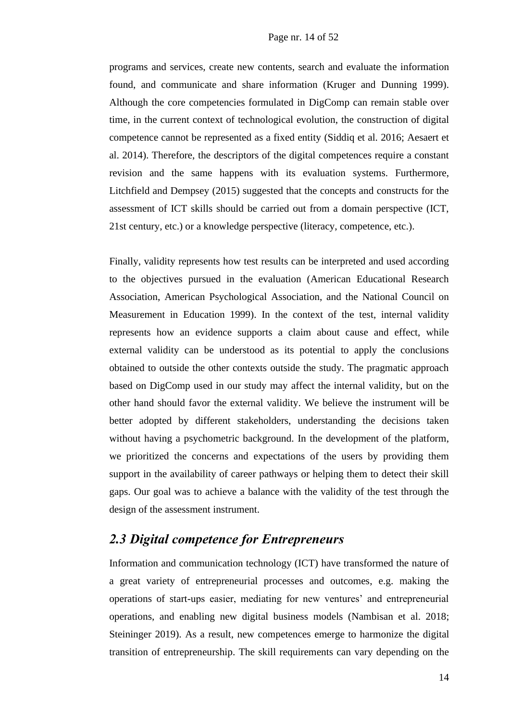programs and services, create new contents, search and evaluate the information found, and communicate and share information (Kruger and Dunning 1999). Although the core competencies formulated in DigComp can remain stable over time, in the current context of technological evolution, the construction of digital competence cannot be represented as a fixed entity (Siddiq et al. 2016; Aesaert et al. 2014). Therefore, the descriptors of the digital competences require a constant revision and the same happens with its evaluation systems. Furthermore, Litchfield and Dempsey (2015) suggested that the concepts and constructs for the assessment of ICT skills should be carried out from a domain perspective (ICT, 21st century, etc.) or a knowledge perspective (literacy, competence, etc.).

Finally, validity represents how test results can be interpreted and used according to the objectives pursued in the evaluation (American Educational Research Association, American Psychological Association, and the National Council on Measurement in Education 1999). In the context of the test, internal validity represents how an evidence supports a claim about cause and effect, while external validity can be understood as its potential to apply the conclusions obtained to outside the other contexts outside the study. The pragmatic approach based on DigComp used in our study may affect the internal validity, but on the other hand should favor the external validity. We believe the instrument will be better adopted by different stakeholders, understanding the decisions taken without having a psychometric background. In the development of the platform, we prioritized the concerns and expectations of the users by providing them support in the availability of career pathways or helping them to detect their skill gaps. Our goal was to achieve a balance with the validity of the test through the design of the assessment instrument.

### *2.3 Digital competence for Entrepreneurs*

Information and communication technology (ICT) have transformed the nature of a great variety of entrepreneurial processes and outcomes, e.g. making the operations of start-ups easier, mediating for new ventures' and entrepreneurial operations, and enabling new digital business models (Nambisan et al. 2018; Steininger 2019). As a result, new competences emerge to harmonize the digital transition of entrepreneurship. The skill requirements can vary depending on the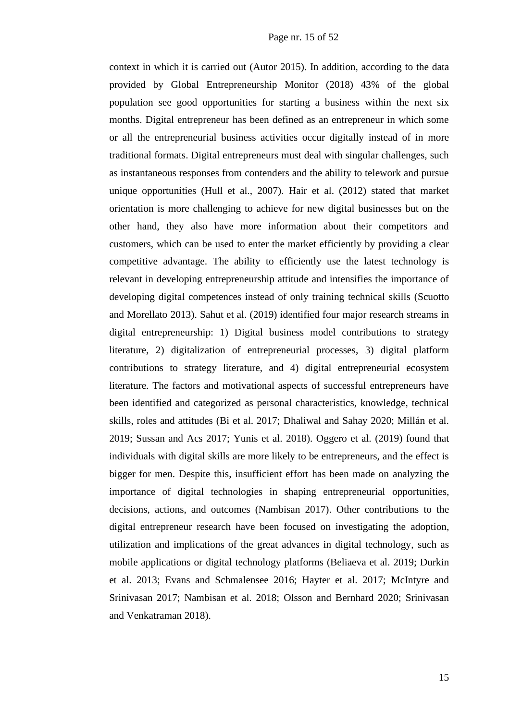context in which it is carried out (Autor 2015). In addition, according to the data provided by Global Entrepreneurship Monitor (2018) 43% of the global population see good opportunities for starting a business within the next six months. Digital entrepreneur has been defined as an entrepreneur in which some or all the entrepreneurial business activities occur digitally instead of in more traditional formats. Digital entrepreneurs must deal with singular challenges, such as instantaneous responses from contenders and the ability to telework and pursue unique opportunities (Hull et al., 2007). Hair et al. (2012) stated that market orientation is more challenging to achieve for new digital businesses but on the other hand, they also have more information about their competitors and customers, which can be used to enter the market efficiently by providing a clear competitive advantage. The ability to efficiently use the latest technology is relevant in developing entrepreneurship attitude and intensifies the importance of developing digital competences instead of only training technical skills (Scuotto and Morellato 2013). Sahut et al. (2019) identified four major research streams in digital entrepreneurship: 1) Digital business model contributions to strategy literature, 2) digitalization of entrepreneurial processes, 3) digital platform contributions to strategy literature, and 4) digital entrepreneurial ecosystem literature. The factors and motivational aspects of successful entrepreneurs have been identified and categorized as personal characteristics, knowledge, technical skills, roles and attitudes (Bi et al. 2017; Dhaliwal and Sahay 2020; Millán et al. 2019; Sussan and Acs 2017; Yunis et al. 2018). Oggero et al. (2019) found that individuals with digital skills are more likely to be entrepreneurs, and the effect is bigger for men. Despite this, insufficient effort has been made on analyzing the importance of digital technologies in shaping entrepreneurial opportunities, decisions, actions, and outcomes (Nambisan 2017). Other contributions to the digital entrepreneur research have been focused on investigating the adoption, utilization and implications of the great advances in digital technology, such as mobile applications or digital technology platforms (Beliaeva et al. 2019; Durkin et al. 2013; Evans and Schmalensee 2016; Hayter et al. 2017; McIntyre and Srinivasan 2017; Nambisan et al. 2018; Olsson and Bernhard 2020; Srinivasan and Venkatraman 2018).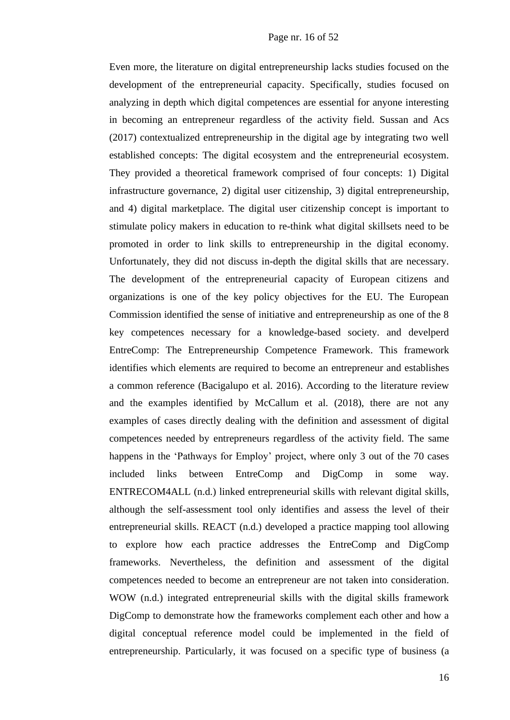Even more, the literature on digital entrepreneurship lacks studies focused on the development of the entrepreneurial capacity. Specifically, studies focused on analyzing in depth which digital competences are essential for anyone interesting in becoming an entrepreneur regardless of the activity field. Sussan and Acs (2017) contextualized entrepreneurship in the digital age by integrating two well established concepts: The digital ecosystem and the entrepreneurial ecosystem. They provided a theoretical framework comprised of four concepts: 1) Digital infrastructure governance, 2) digital user citizenship, 3) digital entrepreneurship, and 4) digital marketplace. The digital user citizenship concept is important to stimulate policy makers in education to re-think what digital skillsets need to be promoted in order to link skills to entrepreneurship in the digital economy. Unfortunately, they did not discuss in-depth the digital skills that are necessary. The development of the entrepreneurial capacity of European citizens and organizations is one of the key policy objectives for the EU. The European Commission identified the sense of initiative and entrepreneurship as one of the 8 key competences necessary for a knowledge-based society. and develperd EntreComp: The Entrepreneurship Competence Framework. This framework identifies which elements are required to become an entrepreneur and establishes a common reference (Bacigalupo et al. 2016). According to the literature review and the examples identified by McCallum et al. (2018), there are not any examples of cases directly dealing with the definition and assessment of digital competences needed by entrepreneurs regardless of the activity field. The same happens in the 'Pathways for Employ' project, where only 3 out of the 70 cases included links between EntreComp and DigComp in some way. ENTRECOM4ALL (n.d.) linked entrepreneurial skills with relevant digital skills, although the self-assessment tool only identifies and assess the level of their entrepreneurial skills. REACT (n.d.) developed a practice mapping tool allowing to explore how each practice addresses the EntreComp and DigComp frameworks. Nevertheless, the definition and assessment of the digital competences needed to become an entrepreneur are not taken into consideration. WOW (n.d.) integrated entrepreneurial skills with the digital skills framework DigComp to demonstrate how the frameworks complement each other and how a digital conceptual reference model could be implemented in the field of entrepreneurship. Particularly, it was focused on a specific type of business (a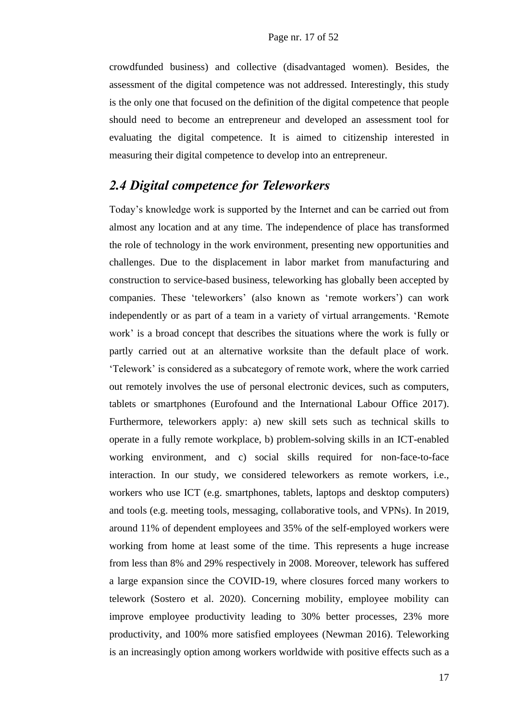crowdfunded business) and collective (disadvantaged women). Besides, the assessment of the digital competence was not addressed. Interestingly, this study is the only one that focused on the definition of the digital competence that people should need to become an entrepreneur and developed an assessment tool for evaluating the digital competence. It is aimed to citizenship interested in measuring their digital competence to develop into an entrepreneur.

### *2.4 Digital competence for Teleworkers*

Today's knowledge work is supported by the Internet and can be carried out from almost any location and at any time. The independence of place has transformed the role of technology in the work environment, presenting new opportunities and challenges. Due to the displacement in labor market from manufacturing and construction to service-based business, teleworking has globally been accepted by companies. These 'teleworkers' (also known as 'remote workers') can work independently or as part of a team in a variety of virtual arrangements. 'Remote work' is a broad concept that describes the situations where the work is fully or partly carried out at an alternative worksite than the default place of work. 'Telework' is considered as a subcategory of remote work, where the work carried out remotely involves the use of personal electronic devices, such as computers, tablets or smartphones (Eurofound and the International Labour Office 2017). Furthermore, teleworkers apply: a) new skill sets such as technical skills to operate in a fully remote workplace, b) problem-solving skills in an ICT-enabled working environment, and c) social skills required for non-face-to-face interaction. In our study, we considered teleworkers as remote workers, i.e., workers who use ICT (e.g. smartphones, tablets, laptops and desktop computers) and tools (e.g. meeting tools, messaging, collaborative tools, and VPNs). In 2019, around 11% of dependent employees and 35% of the self-employed workers were working from home at least some of the time. This represents a huge increase from less than 8% and 29% respectively in 2008. Moreover, telework has suffered a large expansion since the COVID-19, where closures forced many workers to telework (Sostero et al. 2020). Concerning mobility, employee mobility can improve employee productivity leading to 30% better processes, 23% more productivity, and 100% more satisfied employees (Newman 2016). Teleworking is an increasingly option among workers worldwide with positive effects such as a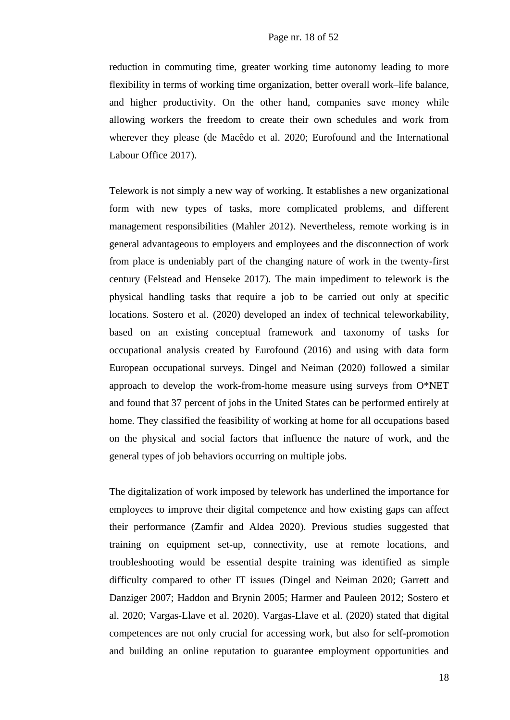reduction in commuting time, greater working time autonomy leading to more flexibility in terms of working time organization, better overall work–life balance, and higher productivity. On the other hand, companies save money while allowing workers the freedom to create their own schedules and work from wherever they please (de Macêdo et al. 2020; Eurofound and the International Labour Office 2017).

Telework is not simply a new way of working. It establishes a new organizational form with new types of tasks, more complicated problems, and different management responsibilities (Mahler 2012). Nevertheless, remote working is in general advantageous to employers and employees and the disconnection of work from place is undeniably part of the changing nature of work in the twenty-first century (Felstead and Henseke 2017). The main impediment to telework is the physical handling tasks that require a job to be carried out only at specific locations. Sostero et al. (2020) developed an index of technical teleworkability, based on an existing conceptual framework and taxonomy of tasks for occupational analysis created by Eurofound (2016) and using with data form European occupational surveys. Dingel and Neiman (2020) followed a similar approach to develop the work-from-home measure using surveys from O\*NET and found that 37 percent of jobs in the United States can be performed entirely at home. They classified the feasibility of working at home for all occupations based on the physical and social factors that influence the nature of work, and the general types of job behaviors occurring on multiple jobs.

The digitalization of work imposed by telework has underlined the importance for employees to improve their digital competence and how existing gaps can affect their performance (Zamfir and Aldea 2020). Previous studies suggested that training on equipment set-up, connectivity, use at remote locations, and troubleshooting would be essential despite training was identified as simple difficulty compared to other IT issues (Dingel and Neiman 2020; Garrett and Danziger 2007; Haddon and Brynin 2005; Harmer and Pauleen 2012; Sostero et al. 2020; Vargas-Llave et al. 2020). Vargas-Llave et al. (2020) stated that digital competences are not only crucial for accessing work, but also for self-promotion and building an online reputation to guarantee employment opportunities and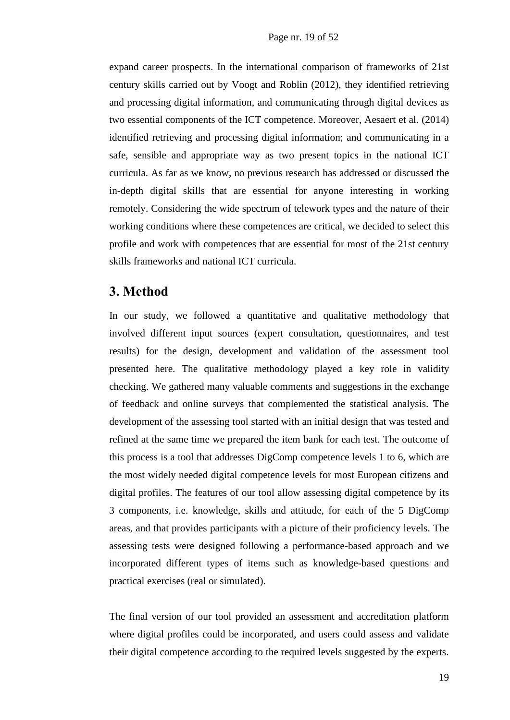expand career prospects. In the international comparison of frameworks of 21st century skills carried out by Voogt and Roblin (2012), they identified retrieving and processing digital information, and communicating through digital devices as two essential components of the ICT competence. Moreover, Aesaert et al. (2014) identified retrieving and processing digital information; and communicating in a safe, sensible and appropriate way as two present topics in the national ICT curricula. As far as we know, no previous research has addressed or discussed the in-depth digital skills that are essential for anyone interesting in working remotely. Considering the wide spectrum of telework types and the nature of their working conditions where these competences are critical, we decided to select this profile and work with competences that are essential for most of the 21st century skills frameworks and national ICT curricula.

### **3. Method**

In our study, we followed a quantitative and qualitative methodology that involved different input sources (expert consultation, questionnaires, and test results) for the design, development and validation of the assessment tool presented here. The qualitative methodology played a key role in validity checking. We gathered many valuable comments and suggestions in the exchange of feedback and online surveys that complemented the statistical analysis. The development of the assessing tool started with an initial design that was tested and refined at the same time we prepared the item bank for each test. The outcome of this process is a tool that addresses DigComp competence levels 1 to 6, which are the most widely needed digital competence levels for most European citizens and digital profiles. The features of our tool allow assessing digital competence by its 3 components, i.e. knowledge, skills and attitude, for each of the 5 DigComp areas, and that provides participants with a picture of their proficiency levels. The assessing tests were designed following a performance-based approach and we incorporated different types of items such as knowledge-based questions and practical exercises (real or simulated).

The final version of our tool provided an assessment and accreditation platform where digital profiles could be incorporated, and users could assess and validate their digital competence according to the required levels suggested by the experts.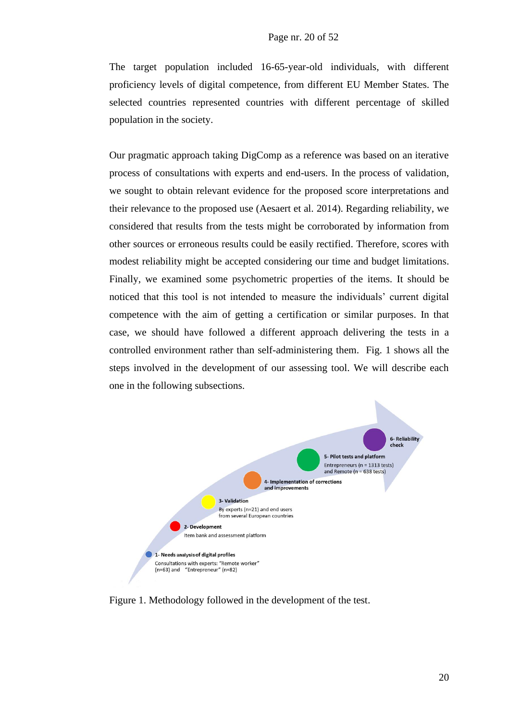The target population included 16-65-year-old individuals, with different proficiency levels of digital competence, from different EU Member States. The selected countries represented countries with different percentage of skilled population in the society.

Our pragmatic approach taking DigComp as a reference was based on an iterative process of consultations with experts and end-users. In the process of validation, we sought to obtain relevant evidence for the proposed score interpretations and their relevance to the proposed use (Aesaert et al. 2014). Regarding reliability, we considered that results from the tests might be corroborated by information from other sources or erroneous results could be easily rectified. Therefore, scores with modest reliability might be accepted considering our time and budget limitations. Finally, we examined some psychometric properties of the items. It should be noticed that this tool is not intended to measure the individuals' current digital competence with the aim of getting a certification or similar purposes. In that case, we should have followed a different approach delivering the tests in a controlled environment rather than self-administering them. Fig. 1 shows all the steps involved in the development of our assessing tool. We will describe each one in the following subsections.



Figure 1. Methodology followed in the development of the test.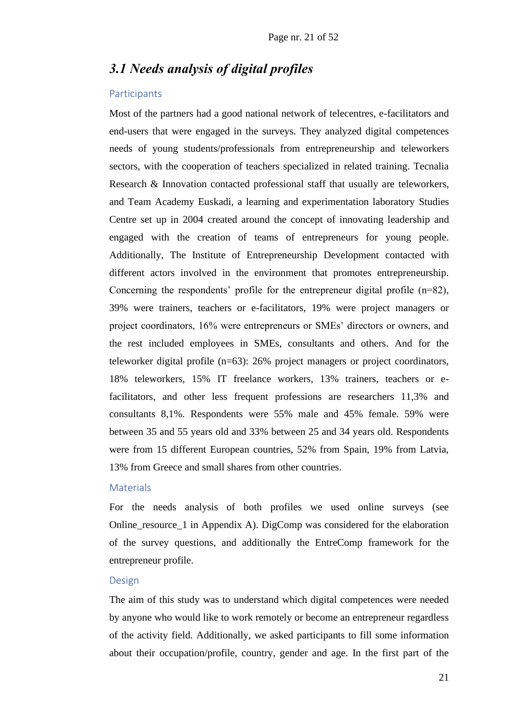### *3.1 Needs analysis of digital profiles*

#### Participants

Most of the partners had a good national network of telecentres, e-facilitators and end-users that were engaged in the surveys. They analyzed digital competences needs of young students/professionals from entrepreneurship and teleworkers sectors, with the cooperation of teachers specialized in related training. Tecnalia Research & Innovation contacted professional staff that usually are teleworkers, and Team Academy Euskadi, a learning and experimentation laboratory Studies Centre set up in 2004 created around the concept of innovating leadership and engaged with the creation of teams of entrepreneurs for young people. Additionally, The Institute of Entrepreneurship Development contacted with different actors involved in the environment that promotes entrepreneurship. Concerning the respondents' profile for the entrepreneur digital profile (n=82), 39% were trainers, teachers or e-facilitators, 19% were project managers or project coordinators, 16% were entrepreneurs or SMEs' directors or owners, and the rest included employees in SMEs, consultants and others. And for the teleworker digital profile (n=63): 26% project managers or project coordinators, 18% teleworkers, 15% IT freelance workers, 13% trainers, teachers or efacilitators, and other less frequent professions are researchers 11,3% and consultants 8,1%. Respondents were 55% male and 45% female. 59% were between 35 and 55 years old and 33% between 25 and 34 years old. Respondents were from 15 different European countries, 52% from Spain, 19% from Latvia, 13% from Greece and small shares from other countries.

#### **Materials**

For the needs analysis of both profiles we used online surveys (see Online\_resource\_1 in Appendix A). DigComp was considered for the elaboration of the survey questions, and additionally the EntreComp framework for the entrepreneur profile.

#### Design

The aim of this study was to understand which digital competences were needed by anyone who would like to work remotely or become an entrepreneur regardless of the activity field. Additionally, we asked participants to fill some information about their occupation/profile, country, gender and age. In the first part of the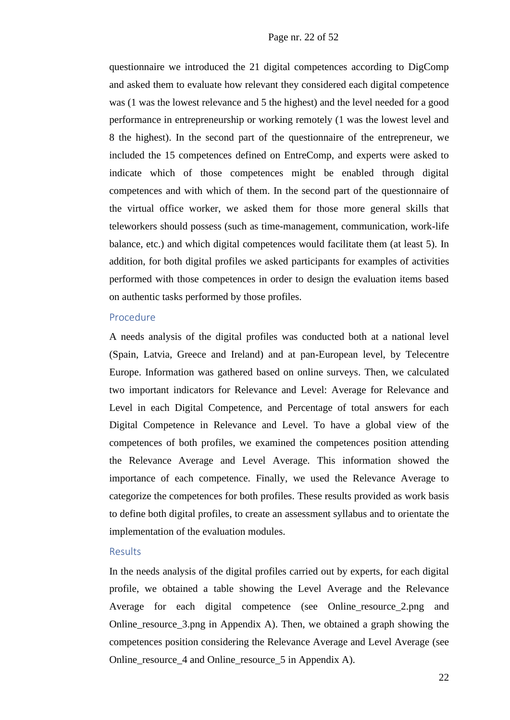questionnaire we introduced the 21 digital competences according to DigComp and asked them to evaluate how relevant they considered each digital competence was (1 was the lowest relevance and 5 the highest) and the level needed for a good performance in entrepreneurship or working remotely (1 was the lowest level and 8 the highest). In the second part of the questionnaire of the entrepreneur, we included the 15 competences defined on EntreComp, and experts were asked to indicate which of those competences might be enabled through digital competences and with which of them. In the second part of the questionnaire of the virtual office worker, we asked them for those more general skills that teleworkers should possess (such as time-management, communication, work-life balance, etc.) and which digital competences would facilitate them (at least 5). In addition, for both digital profiles we asked participants for examples of activities performed with those competences in order to design the evaluation items based on authentic tasks performed by those profiles.

#### Procedure

A needs analysis of the digital profiles was conducted both at a national level (Spain, Latvia, Greece and Ireland) and at pan-European level, by Telecentre Europe. Information was gathered based on online surveys. Then, we calculated two important indicators for Relevance and Level: Average for Relevance and Level in each Digital Competence, and Percentage of total answers for each Digital Competence in Relevance and Level. To have a global view of the competences of both profiles, we examined the competences position attending the Relevance Average and Level Average. This information showed the importance of each competence. Finally, we used the Relevance Average to categorize the competences for both profiles. These results provided as work basis to define both digital profiles, to create an assessment syllabus and to orientate the implementation of the evaluation modules.

#### Results

In the needs analysis of the digital profiles carried out by experts, for each digital profile, we obtained a table showing the Level Average and the Relevance Average for each digital competence (see Online\_resource\_2.png and Online\_resource\_3.png in Appendix A). Then, we obtained a graph showing the competences position considering the Relevance Average and Level Average (see Online\_resource\_4 and Online\_resource\_5 in Appendix A).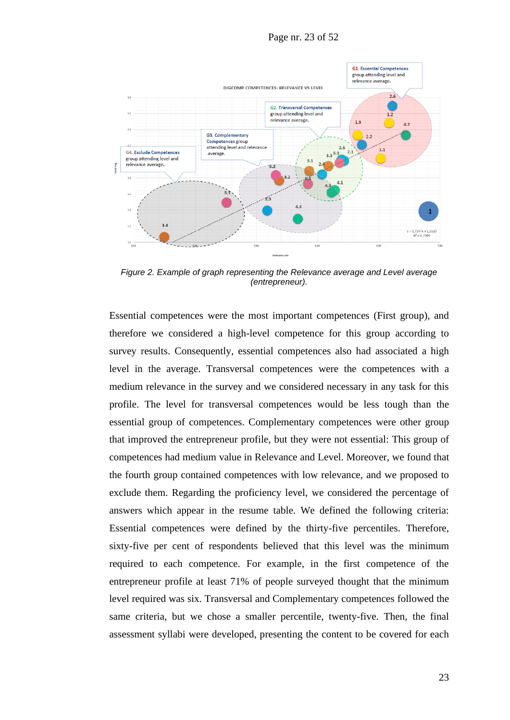Page nr. 23 of 52



*Figure 2. Example of graph representing the Relevance average and Level average (entrepreneur).*

Essential competences were the most important competences (First group), and therefore we considered a high-level competence for this group according to survey results. Consequently, essential competences also had associated a high level in the average. Transversal competences were the competences with a medium relevance in the survey and we considered necessary in any task for this profile. The level for transversal competences would be less tough than the essential group of competences. Complementary competences were other group that improved the entrepreneur profile, but they were not essential: This group of competences had medium value in Relevance and Level. Moreover, we found that the fourth group contained competences with low relevance, and we proposed to exclude them. Regarding the proficiency level, we considered the percentage of answers which appear in the resume table. We defined the following criteria: Essential competences were defined by the thirty-five percentiles. Therefore, sixty-five per cent of respondents believed that this level was the minimum required to each competence. For example, in the first competence of the entrepreneur profile at least 71% of people surveyed thought that the minimum level required was six. Transversal and Complementary competences followed the same criteria, but we chose a smaller percentile, twenty-five. Then, the final assessment syllabi were developed, presenting the content to be covered for each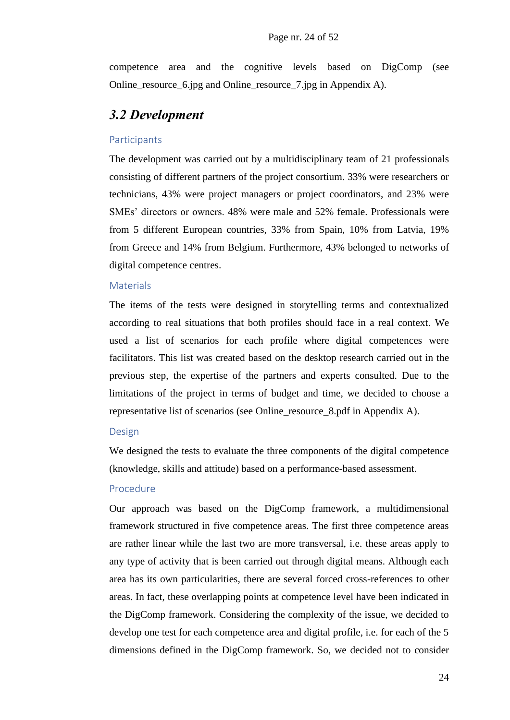competence area and the cognitive levels based on DigComp (see Online\_resource\_6.jpg and Online\_resource\_7.jpg in Appendix A).

### *3.2 Development*

#### Participants

The development was carried out by a multidisciplinary team of 21 professionals consisting of different partners of the project consortium. 33% were researchers or technicians, 43% were project managers or project coordinators, and 23% were SMEs' directors or owners. 48% were male and 52% female. Professionals were from 5 different European countries, 33% from Spain, 10% from Latvia, 19% from Greece and 14% from Belgium. Furthermore, 43% belonged to networks of digital competence centres.

#### **Materials**

The items of the tests were designed in storytelling terms and contextualized according to real situations that both profiles should face in a real context. We used a list of scenarios for each profile where digital competences were facilitators. This list was created based on the desktop research carried out in the previous step, the expertise of the partners and experts consulted. Due to the limitations of the project in terms of budget and time, we decided to choose a representative list of scenarios (see Online\_resource\_8.pdf in Appendix A).

#### Design

We designed the tests to evaluate the three components of the digital competence (knowledge, skills and attitude) based on a performance-based assessment.

#### Procedure

Our approach was based on the DigComp framework, a multidimensional framework structured in five competence areas. The first three competence areas are rather linear while the last two are more transversal, i.e. these areas apply to any type of activity that is been carried out through digital means. Although each area has its own particularities, there are several forced cross-references to other areas. In fact, these overlapping points at competence level have been indicated in the DigComp framework. Considering the complexity of the issue, we decided to develop one test for each competence area and digital profile, i.e. for each of the 5 dimensions defined in the DigComp framework. So, we decided not to consider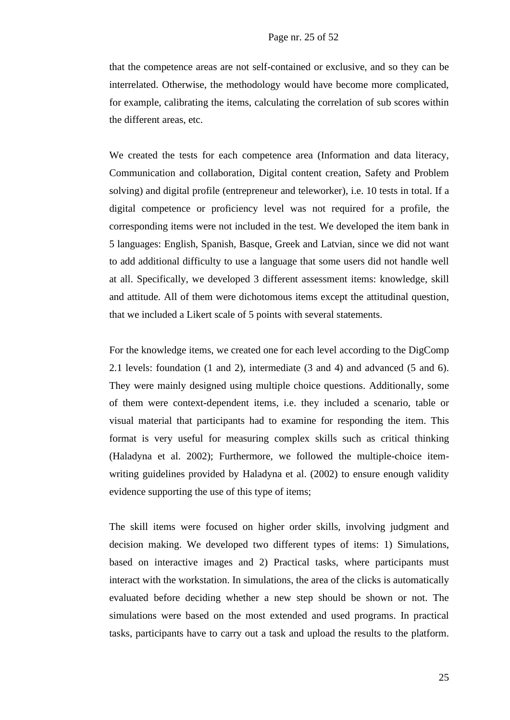that the competence areas are not self-contained or exclusive, and so they can be interrelated. Otherwise, the methodology would have become more complicated, for example, calibrating the items, calculating the correlation of sub scores within the different areas, etc.

We created the tests for each competence area (Information and data literacy, Communication and collaboration, Digital content creation, Safety and Problem solving) and digital profile (entrepreneur and teleworker), i.e. 10 tests in total. If a digital competence or proficiency level was not required for a profile, the corresponding items were not included in the test. We developed the item bank in 5 languages: English, Spanish, Basque, Greek and Latvian, since we did not want to add additional difficulty to use a language that some users did not handle well at all. Specifically, we developed 3 different assessment items: knowledge, skill and attitude. All of them were dichotomous items except the attitudinal question, that we included a Likert scale of 5 points with several statements.

For the knowledge items, we created one for each level according to the DigComp 2.1 levels: foundation (1 and 2), intermediate (3 and 4) and advanced (5 and 6). They were mainly designed using multiple choice questions. Additionally, some of them were context-dependent items, i.e. they included a scenario, table or visual material that participants had to examine for responding the item. This format is very useful for measuring complex skills such as critical thinking (Haladyna et al. 2002); Furthermore, we followed the multiple-choice itemwriting guidelines provided by Haladyna et al. (2002) to ensure enough validity evidence supporting the use of this type of items;

The skill items were focused on higher order skills, involving judgment and decision making. We developed two different types of items: 1) Simulations, based on interactive images and 2) Practical tasks, where participants must interact with the workstation. In simulations, the area of the clicks is automatically evaluated before deciding whether a new step should be shown or not. The simulations were based on the most extended and used programs. In practical tasks, participants have to carry out a task and upload the results to the platform.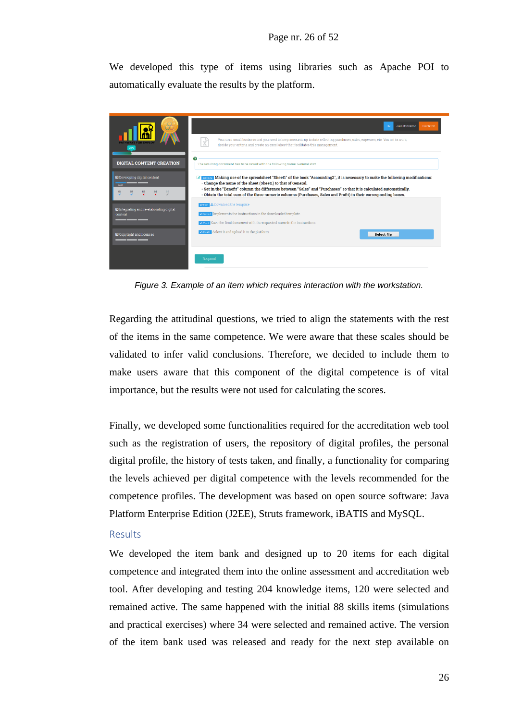We developed this type of items using libraries such as Apache POI to automatically evaluate the results by the platform.



*Figure 3. Example of an item which requires interaction with the workstation.*

Regarding the attitudinal questions, we tried to align the statements with the rest of the items in the same competence. We were aware that these scales should be validated to infer valid conclusions. Therefore, we decided to include them to make users aware that this component of the digital competence is of vital importance, but the results were not used for calculating the scores.

Finally, we developed some functionalities required for the accreditation web tool such as the registration of users, the repository of digital profiles, the personal digital profile, the history of tests taken, and finally, a functionality for comparing the levels achieved per digital competence with the levels recommended for the competence profiles. The development was based on open source software: Java Platform Enterprise Edition (J2EE), Struts framework, iBATIS and MySQL.

#### Results

We developed the item bank and designed up to 20 items for each digital competence and integrated them into the online assessment and accreditation web tool. After developing and testing 204 knowledge items, 120 were selected and remained active. The same happened with the initial 88 skills items (simulations and practical exercises) where 34 were selected and remained active. The version of the item bank used was released and ready for the next step available on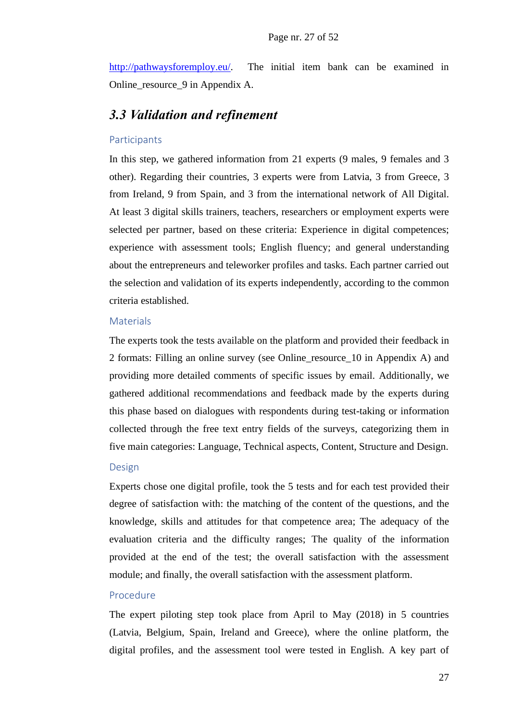[http://pathwaysforemploy.eu/.](http://pathwaysforemploy.eu/) The initial item bank can be examined in Online\_resource\_9 in Appendix A.

### *3.3 Validation and refinement*

#### Participants

In this step, we gathered information from 21 experts (9 males, 9 females and 3 other). Regarding their countries, 3 experts were from Latvia, 3 from Greece, 3 from Ireland, 9 from Spain, and 3 from the international network of All Digital. At least 3 digital skills trainers, teachers, researchers or employment experts were selected per partner, based on these criteria: Experience in digital competences; experience with assessment tools; English fluency; and general understanding about the entrepreneurs and teleworker profiles and tasks. Each partner carried out the selection and validation of its experts independently, according to the common criteria established.

#### **Materials**

The experts took the tests available on the platform and provided their feedback in 2 formats: Filling an online survey (see Online\_resource\_10 in Appendix A) and providing more detailed comments of specific issues by email. Additionally, we gathered additional recommendations and feedback made by the experts during this phase based on dialogues with respondents during test-taking or information collected through the free text entry fields of the surveys, categorizing them in five main categories: Language, Technical aspects, Content, Structure and Design.

#### Design

Experts chose one digital profile, took the 5 tests and for each test provided their degree of satisfaction with: the matching of the content of the questions, and the knowledge, skills and attitudes for that competence area; The adequacy of the evaluation criteria and the difficulty ranges; The quality of the information provided at the end of the test; the overall satisfaction with the assessment module; and finally, the overall satisfaction with the assessment platform.

#### Procedure

The expert piloting step took place from April to May (2018) in 5 countries (Latvia, Belgium, Spain, Ireland and Greece), where the online platform, the digital profiles, and the assessment tool were tested in English. A key part of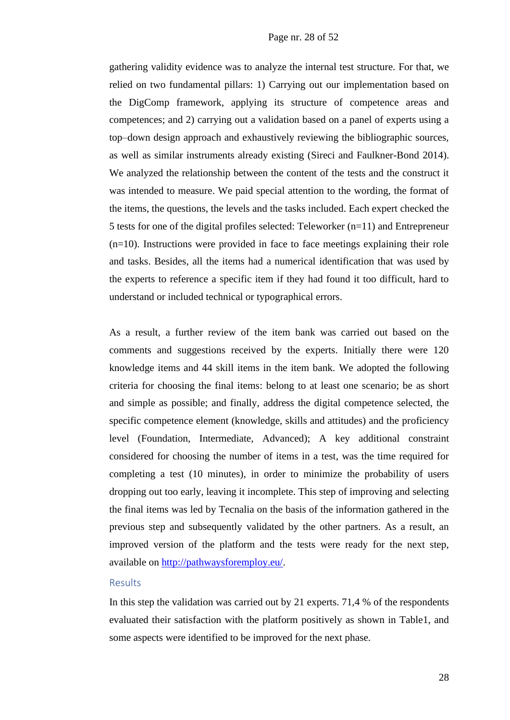gathering validity evidence was to analyze the internal test structure. For that, we relied on two fundamental pillars: 1) Carrying out our implementation based on the DigComp framework, applying its structure of competence areas and competences; and 2) carrying out a validation based on a panel of experts using a top–down design approach and exhaustively reviewing the bibliographic sources, as well as similar instruments already existing (Sireci and Faulkner-Bond 2014). We analyzed the relationship between the content of the tests and the construct it was intended to measure. We paid special attention to the wording, the format of the items, the questions, the levels and the tasks included. Each expert checked the 5 tests for one of the digital profiles selected: Teleworker (n=11) and Entrepreneur (n=10). Instructions were provided in face to face meetings explaining their role and tasks. Besides, all the items had a numerical identification that was used by the experts to reference a specific item if they had found it too difficult, hard to understand or included technical or typographical errors.

As a result, a further review of the item bank was carried out based on the comments and suggestions received by the experts. Initially there were 120 knowledge items and 44 skill items in the item bank. We adopted the following criteria for choosing the final items: belong to at least one scenario; be as short and simple as possible; and finally, address the digital competence selected, the specific competence element (knowledge, skills and attitudes) and the proficiency level (Foundation, Intermediate, Advanced); A key additional constraint considered for choosing the number of items in a test, was the time required for completing a test (10 minutes), in order to minimize the probability of users dropping out too early, leaving it incomplete. This step of improving and selecting the final items was led by Tecnalia on the basis of the information gathered in the previous step and subsequently validated by the other partners. As a result, an improved version of the platform and the tests were ready for the next step, available on [http://pathwaysforemploy.eu/.](http://pathwaysforemploy.eu/)

#### Results

In this step the validation was carried out by 21 experts. 71,4 % of the respondents evaluated their satisfaction with the platform positively as shown in Table1, and some aspects were identified to be improved for the next phase.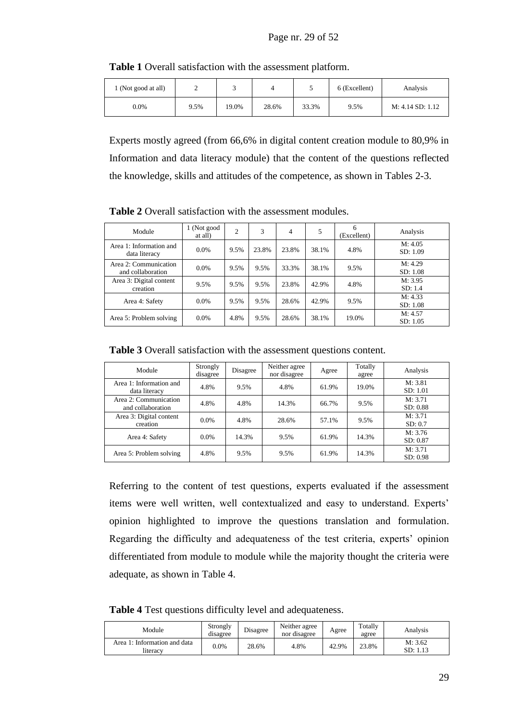| l (Not good at all) |      |       |       |       | 6 (Excellent) | Analysis         |
|---------------------|------|-------|-------|-------|---------------|------------------|
| 0.0%                | 9.5% | 19.0% | 28.6% | 33.3% | 9.5%          | M: 4.14 SD: 1.12 |

**Table 1** Overall satisfaction with the assessment platform.

Experts mostly agreed (from 66,6% in digital content creation module to 80,9% in Information and data literacy module) that the content of the questions reflected the knowledge, skills and attitudes of the competence, as shown in Tables 2-3.

| Module                                     | 1 (Not good<br>at all) | 2    | 3     | 4     | 5     | 6<br>(Excellent) | Analysis            |
|--------------------------------------------|------------------------|------|-------|-------|-------|------------------|---------------------|
| Area 1: Information and<br>data literacy   | 0.0%                   | 9.5% | 23.8% | 23.8% | 38.1% | 4.8%             | M: 4.05<br>SD: 1.09 |
| Area 2: Communication<br>and collaboration | $0.0\%$                | 9.5% | 9.5%  | 33.3% | 38.1% | 9.5%             | M: 4.29<br>SD: 1.08 |
| Area 3: Digital content<br>creation        | 9.5%                   | 9.5% | 9.5%  | 23.8% | 42.9% | 4.8%             | M: 3.95<br>SD: 1.4  |
| Area 4: Safety                             | $0.0\%$                | 9.5% | 9.5%  | 28.6% | 42.9% | 9.5%             | M: 4.33<br>SD: 1.08 |
| Area 5: Problem solving                    | $0.0\%$                | 4.8% | 9.5%  | 28.6% | 38.1% | 19.0%            | M: 4.57<br>SD: 1.05 |

**Table 2** Overall satisfaction with the assessment modules.

**Table 3** Overall satisfaction with the assessment questions content.

| Module                                     | Strongly<br>disagree | Disagree | Neither agree<br>nor disagree | Agree | Totally<br>agree | Analysis            |
|--------------------------------------------|----------------------|----------|-------------------------------|-------|------------------|---------------------|
| Area 1: Information and<br>data literacy   | 4.8%                 | 9.5%     | 4.8%                          | 61.9% | 19.0%            | M: 3.81<br>SD: 1.01 |
| Area 2: Communication<br>and collaboration | 4.8%                 | 4.8%     | 14.3%                         | 66.7% | 9.5%             | M: 3.71<br>SD: 0.88 |
| Area 3: Digital content<br>creation        | $0.0\%$              | 4.8%     | 28.6%                         | 57.1% | 9.5%             | M: 3.71<br>SD: 0.7  |
| Area 4: Safety                             | $0.0\%$              | 14.3%    | 9.5%                          | 61.9% | 14.3%            | M: 3.76<br>SD: 0.87 |
| Area 5: Problem solving                    | 4.8%                 | 9.5%     | 9.5%                          | 61.9% | 14.3%            | M: 3.71<br>SD: 0.98 |

Referring to the content of test questions, experts evaluated if the assessment items were well written, well contextualized and easy to understand. Experts' opinion highlighted to improve the questions translation and formulation. Regarding the difficulty and adequateness of the test criteria, experts' opinion differentiated from module to module while the majority thought the criteria were adequate, as shown in Table 4.

**Table 4** Test questions difficulty level and adequateness.

| Module                                   | Strongly<br>disagree | Disagree | Neither agree<br>nor disagree | Agree | Totally<br>agree | Analvsis         |
|------------------------------------------|----------------------|----------|-------------------------------|-------|------------------|------------------|
| Area 1: Information and data<br>literacv | $0.0\%$              | 28.6%    | 4.8%                          | 42.9% | 23.8%            | M: 3.62<br>SD: 1 |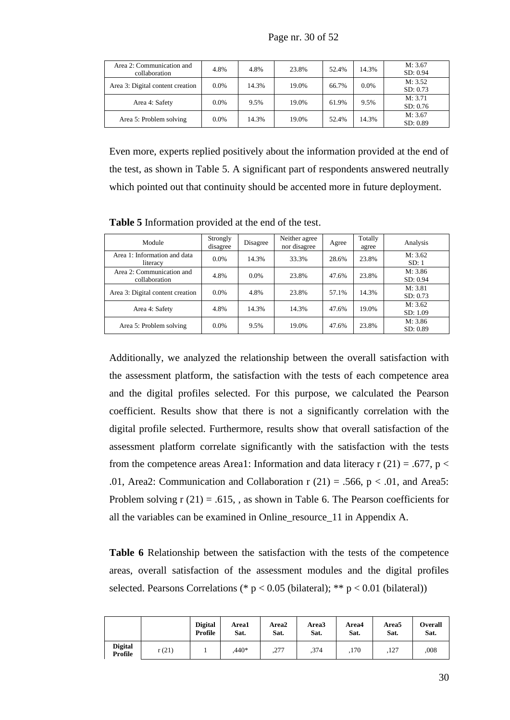| Area 2: Communication and<br>collaboration | 4.8%    | 4.8%  | 23.8% | 52.4% | 14.3%   | M: 3.67<br>SD: 0.94 |
|--------------------------------------------|---------|-------|-------|-------|---------|---------------------|
| Area 3: Digital content creation           | $0.0\%$ | 14.3% | 19.0% | 66.7% | $0.0\%$ | M: 3.52<br>SD: 0.73 |
| Area 4: Safety                             | $0.0\%$ | 9.5%  | 19.0% | 61.9% | 9.5%    | M: 3.71<br>SD: 0.76 |
| Area 5: Problem solving                    | $0.0\%$ | 14.3% | 19.0% | 52.4% | 14.3%   | M: 3.67<br>SD: 0.89 |

Even more, experts replied positively about the information provided at the end of the test, as shown in Table 5. A significant part of respondents answered neutrally which pointed out that continuity should be accented more in future deployment.

**Table 5** Information provided at the end of the test.

| Module                                     | Strongly<br>disagree | Disagree | Neither agree<br>nor disagree | Agree | Totally<br>agree | Analysis            |
|--------------------------------------------|----------------------|----------|-------------------------------|-------|------------------|---------------------|
| Area 1: Information and data<br>literacy   | $0.0\%$              | 14.3%    | 33.3%                         | 28.6% | 23.8%            | M: 3.62<br>SD: 1    |
| Area 2: Communication and<br>collaboration | 4.8%                 | $0.0\%$  | 23.8%                         | 47.6% | 23.8%            | M: 3.86<br>SD: 0.94 |
| Area 3: Digital content creation           | $0.0\%$              | 4.8%     | 23.8%                         | 57.1% | 14.3%            | M: 3.81<br>SD: 0.73 |
| Area 4: Safety                             | 4.8%                 | 14.3%    | 14.3%                         | 47.6% | 19.0%            | M: 3.62<br>SD: 1.09 |
| Area 5: Problem solving                    | $0.0\%$              | 9.5%     | 19.0%                         | 47.6% | 23.8%            | M: 3.86<br>SD: 0.89 |

Additionally, we analyzed the relationship between the overall satisfaction with the assessment platform, the satisfaction with the tests of each competence area and the digital profiles selected. For this purpose, we calculated the Pearson coefficient. Results show that there is not a significantly correlation with the digital profile selected. Furthermore, results show that overall satisfaction of the assessment platform correlate significantly with the satisfaction with the tests from the competence areas Area1: Information and data literacy  $r(21) = .677$ ,  $p <$ .01, Area2: Communication and Collaboration r  $(21) = .566$ , p  $< .01$ , and Area5: Problem solving  $r(21) = .615$ , as shown in Table 6. The Pearson coefficients for all the variables can be examined in Online\_resource\_11 in Appendix A.

**Table 6** Relationship between the satisfaction with the tests of the competence areas, overall satisfaction of the assessment modules and the digital profiles selected. Pearsons Correlations (\*  $p < 0.05$  (bilateral); \*\*  $p < 0.01$  (bilateral))

|                           |       | Digital<br>Profile | Area1<br>Sat. | Area2<br>Sat. | Area3<br>Sat. | Area4<br>Sat. | Area5<br>Sat. | Overall<br>Sat. |
|---------------------------|-------|--------------------|---------------|---------------|---------------|---------------|---------------|-----------------|
| <b>Digital</b><br>Profile | r(21) |                    | $.440*$       | ,277          | .374          | ,170          | ,127          | .008            |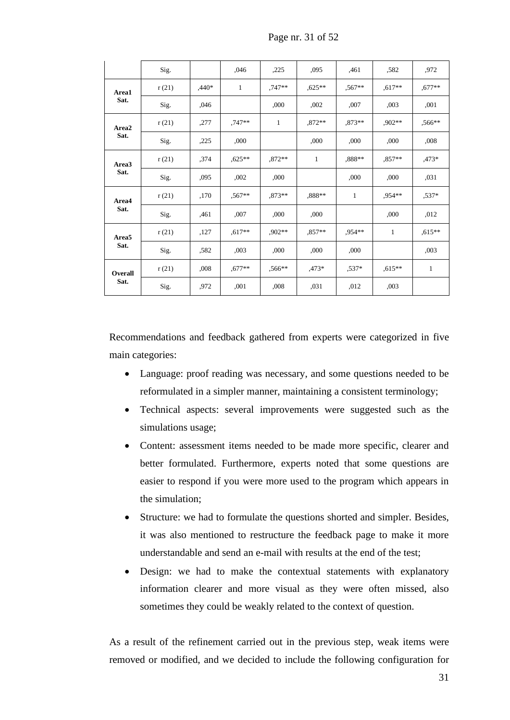|                   | Sig.  |         | .046     | ,225     | ,095         | ,461     | .582      | .972     |
|-------------------|-------|---------|----------|----------|--------------|----------|-----------|----------|
| Area1             | r(21) | $.440*$ | 1        | $,747**$ | $.625**$     | $.567**$ | $,617**$  | $,677**$ |
| Sat.              | Sig.  | ,046    |          | ,000     | ,002         | ,007     | ,003      | ,001     |
| Area2             | r(21) | ,277    | $.747**$ | 1        | $.872**$     | $.873**$ | ,902**    | ,566**   |
| Sat.              | Sig.  | ,225    | ,000     |          | ,000         | ,000     | ,000      | ,008     |
| Area3             | r(21) | ,374    | $,625**$ | $,872**$ | $\mathbf{1}$ | ,888**   | $,857**$  | $,473*$  |
| Sat.              | Sig.  | ,095    | ,002     | ,000     |              | ,000     | ,000      | ,031     |
| Area4             | r(21) | ,170    | $,567**$ | $.873**$ | .888**       | 1        | .954**    | $.537*$  |
| Sat.              | Sig.  | ,461    | ,007     | ,000     | ,000         |          | ,000      | ,012     |
| Area <sub>5</sub> | r(21) | ,127    | $.617**$ | $.902**$ | $0.857**$    | $.954**$ | 1         | $,615**$ |
| Sat.              | Sig.  | .582    | ,003     | ,000     | ,000         | ,000     |           | ,003     |
| <b>Overall</b>    | r(21) | ,008    | $.677**$ | $.566**$ | $.473*$      | $.537*$  | $0.615**$ | 1        |
| Sat.              | Sig.  | ,972    | ,001     | ,008     | ,031         | ,012     | ,003      |          |

Page nr. 31 of 52

Recommendations and feedback gathered from experts were categorized in five main categories:

- Language: proof reading was necessary, and some questions needed to be reformulated in a simpler manner, maintaining a consistent terminology;
- Technical aspects: several improvements were suggested such as the simulations usage;
- Content: assessment items needed to be made more specific, clearer and better formulated. Furthermore, experts noted that some questions are easier to respond if you were more used to the program which appears in the simulation;
- Structure: we had to formulate the questions shorted and simpler. Besides, it was also mentioned to restructure the feedback page to make it more understandable and send an e-mail with results at the end of the test;
- Design: we had to make the contextual statements with explanatory information clearer and more visual as they were often missed, also sometimes they could be weakly related to the context of question.

As a result of the refinement carried out in the previous step, weak items were removed or modified, and we decided to include the following configuration for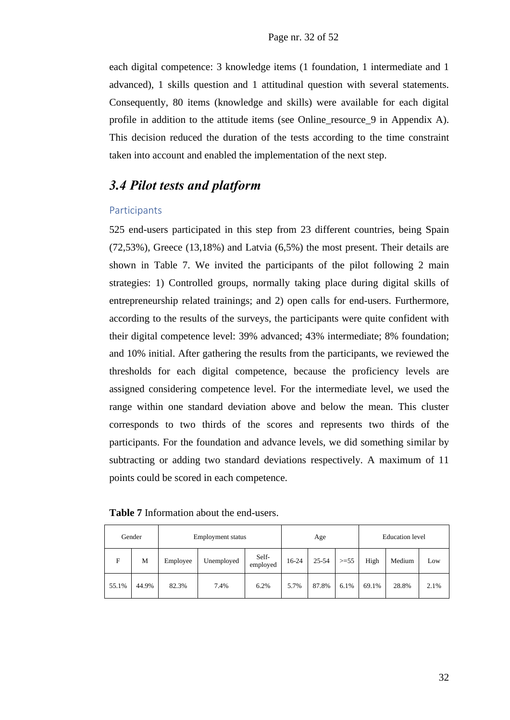each digital competence: 3 knowledge items (1 foundation, 1 intermediate and 1 advanced), 1 skills question and 1 attitudinal question with several statements. Consequently, 80 items (knowledge and skills) were available for each digital profile in addition to the attitude items (see Online\_resource\_9 in Appendix A). This decision reduced the duration of the tests according to the time constraint taken into account and enabled the implementation of the next step.

### *3.4 Pilot tests and platform*

#### Participants

525 end-users participated in this step from 23 different countries, being Spain (72,53%), Greece (13,18%) and Latvia (6,5%) the most present. Their details are shown in Table 7. We invited the participants of the pilot following 2 main strategies: 1) Controlled groups, normally taking place during digital skills of entrepreneurship related trainings; and 2) open calls for end-users. Furthermore, according to the results of the surveys, the participants were quite confident with their digital competence level: 39% advanced; 43% intermediate; 8% foundation; and 10% initial. After gathering the results from the participants, we reviewed the thresholds for each digital competence, because the proficiency levels are assigned considering competence level. For the intermediate level, we used the range within one standard deviation above and below the mean. This cluster corresponds to two thirds of the scores and represents two thirds of the participants. For the foundation and advance levels, we did something similar by subtracting or adding two standard deviations respectively. A maximum of 11 points could be scored in each competence.

|       | Gender | <b>Employment</b> status |            |                   |       | Age   |        |       | <b>Education</b> level |      |  |
|-------|--------|--------------------------|------------|-------------------|-------|-------|--------|-------|------------------------|------|--|
| F     | М      | Employee                 | Unemployed | Self-<br>employed | 16-24 | 25-54 | $>=55$ | High  | Medium                 | Low  |  |
| 55.1% | 44.9%  | 82.3%                    | 7.4%       | 6.2%              | 5.7%  | 87.8% | 6.1%   | 69.1% | 28.8%                  | 2.1% |  |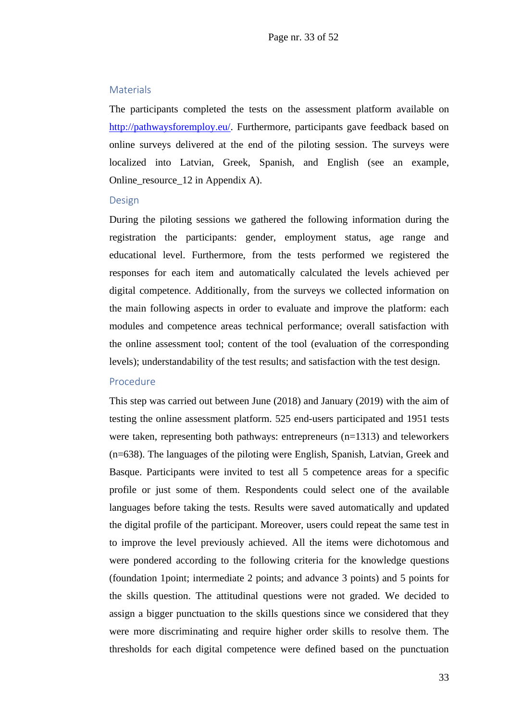#### **Materials**

The participants completed the tests on the assessment platform available on [http://pathwaysforemploy.eu/.](http://pathwaysforemploy.eu/) Furthermore, participants gave feedback based on online surveys delivered at the end of the piloting session. The surveys were localized into Latvian, Greek, Spanish, and English (see an example, Online\_resource\_12 in Appendix A).

#### Design

During the piloting sessions we gathered the following information during the registration the participants: gender, employment status, age range and educational level. Furthermore, from the tests performed we registered the responses for each item and automatically calculated the levels achieved per digital competence. Additionally, from the surveys we collected information on the main following aspects in order to evaluate and improve the platform: each modules and competence areas technical performance; overall satisfaction with the online assessment tool; content of the tool (evaluation of the corresponding levels); understandability of the test results; and satisfaction with the test design.

#### Procedure

This step was carried out between June (2018) and January (2019) with the aim of testing the online assessment platform. 525 end-users participated and 1951 tests were taken, representing both pathways: entrepreneurs (n=1313) and teleworkers (n=638). The languages of the piloting were English, Spanish, Latvian, Greek and Basque. Participants were invited to test all 5 competence areas for a specific profile or just some of them. Respondents could select one of the available languages before taking the tests. Results were saved automatically and updated the digital profile of the participant. Moreover, users could repeat the same test in to improve the level previously achieved. All the items were dichotomous and were pondered according to the following criteria for the knowledge questions (foundation 1point; intermediate 2 points; and advance 3 points) and 5 points for the skills question. The attitudinal questions were not graded. We decided to assign a bigger punctuation to the skills questions since we considered that they were more discriminating and require higher order skills to resolve them. The thresholds for each digital competence were defined based on the punctuation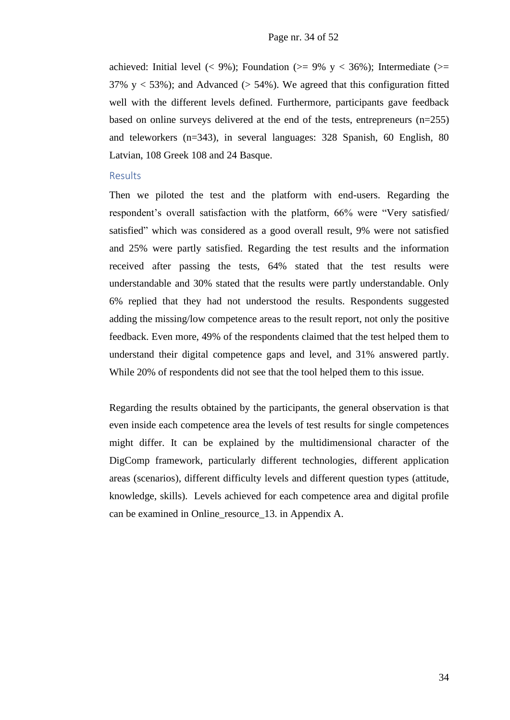achieved: Initial level (< 9%); Foundation (>= 9% y < 36%); Intermediate (>= 37% y  $\lt$  53%); and Advanced ( $>$  54%). We agreed that this configuration fitted well with the different levels defined. Furthermore, participants gave feedback based on online surveys delivered at the end of the tests, entrepreneurs (n=255) and teleworkers (n=343), in several languages: 328 Spanish, 60 English, 80 Latvian, 108 Greek 108 and 24 Basque.

#### Results

Then we piloted the test and the platform with end-users. Regarding the respondent's overall satisfaction with the platform, 66% were "Very satisfied/ satisfied" which was considered as a good overall result, 9% were not satisfied and 25% were partly satisfied. Regarding the test results and the information received after passing the tests, 64% stated that the test results were understandable and 30% stated that the results were partly understandable. Only 6% replied that they had not understood the results. Respondents suggested adding the missing/low competence areas to the result report, not only the positive feedback. Even more, 49% of the respondents claimed that the test helped them to understand their digital competence gaps and level, and 31% answered partly. While 20% of respondents did not see that the tool helped them to this issue.

Regarding the results obtained by the participants, the general observation is that even inside each competence area the levels of test results for single competences might differ. It can be explained by the multidimensional character of the DigComp framework, particularly different technologies, different application areas (scenarios), different difficulty levels and different question types (attitude, knowledge, skills). Levels achieved for each competence area and digital profile can be examined in Online\_resource\_13. in Appendix A.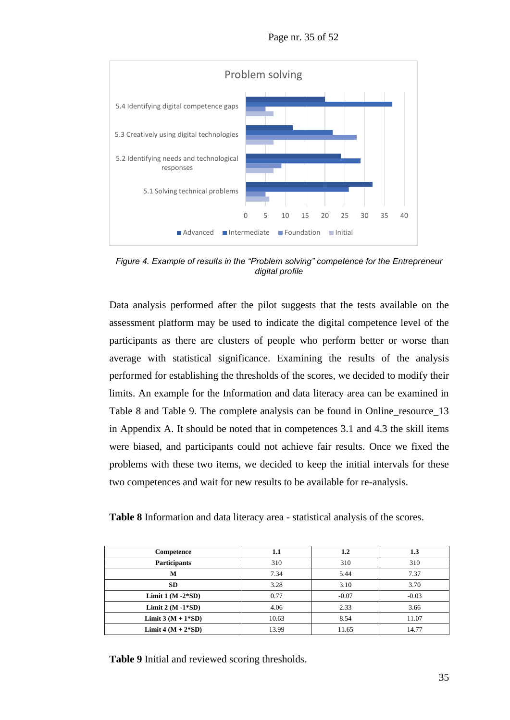Page nr. 35 of 52



*Figure 4. Example of results in the "Problem solving" competence for the Entrepreneur digital profile*

Data analysis performed after the pilot suggests that the tests available on the assessment platform may be used to indicate the digital competence level of the participants as there are clusters of people who perform better or worse than average with statistical significance. Examining the results of the analysis performed for establishing the thresholds of the scores, we decided to modify their limits. An example for the Information and data literacy area can be examined in Table 8 and Table 9. The complete analysis can be found in Online\_resource\_13 in Appendix A. It should be noted that in competences 3.1 and 4.3 the skill items were biased, and participants could not achieve fair results. Once we fixed the problems with these two items, we decided to keep the initial intervals for these two competences and wait for new results to be available for re-analysis.

**Table 8** Information and data literacy area - statistical analysis of the scores.

| Competence           | 1.1   | $1.2\,$ | 1.3     |
|----------------------|-------|---------|---------|
| <b>Participants</b>  | 310   | 310     | 310     |
| M                    | 7.34  | 5.44    | 7.37    |
| <b>SD</b>            | 3.28  | 3.10    | 3.70    |
| Limit $1(M-2*SD)$    | 0.77  | $-0.07$ | $-0.03$ |
| Limit $2(M-1*SD)$    | 4.06  | 2.33    | 3.66    |
| Limit $3(M + 1*SD)$  | 10.63 | 8.54    | 11.07   |
| Limit 4 $(M + 2*SD)$ | 13.99 | 11.65   | 14.77   |

**Table 9** Initial and reviewed scoring thresholds.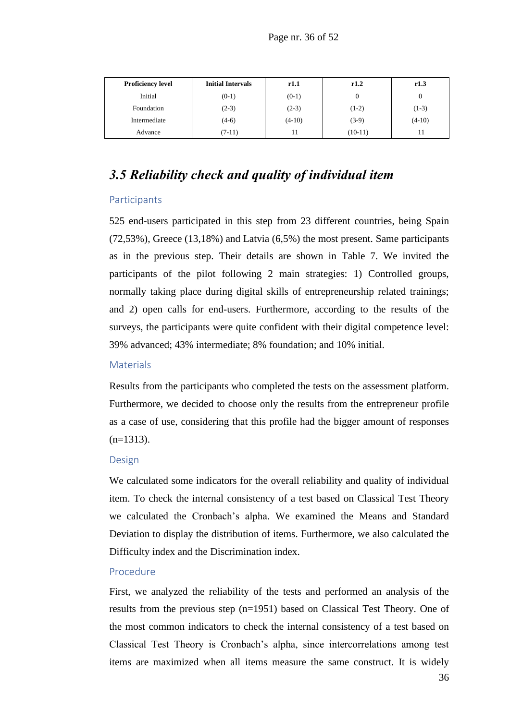| <b>Proficiency level</b> | <b>Initial Intervals</b> | r1.1     | r1.2      | r1.3     |
|--------------------------|--------------------------|----------|-----------|----------|
| Initial                  | $(0-1)$                  | $(0-1)$  |           |          |
| Foundation               | $(2-3)$                  | $(2-3)$  | $(1-2)$   | $(1-3)$  |
| Intermediate             | $(4-6)$                  | $(4-10)$ | $(3-9)$   | $(4-10)$ |
| Advance                  | (7-11)                   |          | $(10-11)$ |          |

### *3.5 Reliability check and quality of individual item*

#### Participants

525 end-users participated in this step from 23 different countries, being Spain (72,53%), Greece (13,18%) and Latvia (6,5%) the most present. Same participants as in the previous step. Their details are shown in Table 7. We invited the participants of the pilot following 2 main strategies: 1) Controlled groups, normally taking place during digital skills of entrepreneurship related trainings; and 2) open calls for end-users. Furthermore, according to the results of the surveys, the participants were quite confident with their digital competence level: 39% advanced; 43% intermediate; 8% foundation; and 10% initial.

#### **Materials**

Results from the participants who completed the tests on the assessment platform. Furthermore, we decided to choose only the results from the entrepreneur profile as a case of use, considering that this profile had the bigger amount of responses  $(n=1313)$ .

#### Design

We calculated some indicators for the overall reliability and quality of individual item. To check the internal consistency of a test based on Classical Test Theory we calculated the Cronbach's alpha. We examined the Means and Standard Deviation to display the distribution of items. Furthermore, we also calculated the Difficulty index and the Discrimination index.

#### Procedure

First, we analyzed the reliability of the tests and performed an analysis of the results from the previous step (n=1951) based on Classical Test Theory. One of the most common indicators to check the internal consistency of a test based on Classical Test Theory is Cronbach's alpha, since intercorrelations among test items are maximized when all items measure the same construct. It is widely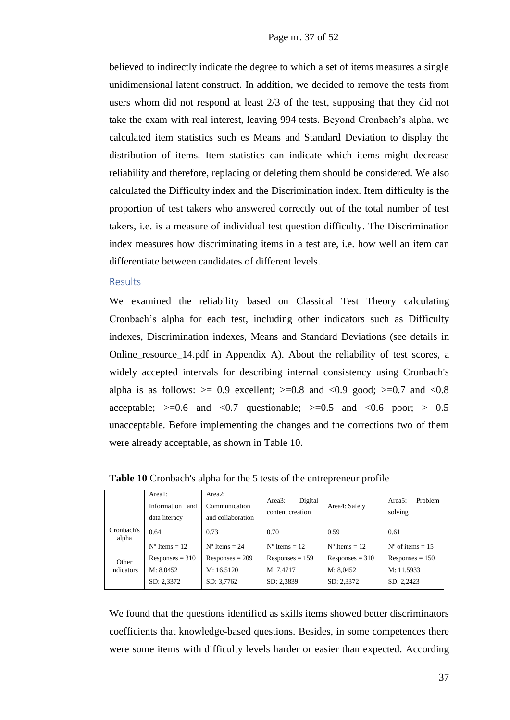believed to indirectly indicate the degree to which a set of items measures a single unidimensional latent construct. In addition, we decided to remove the tests from users whom did not respond at least 2/3 of the test, supposing that they did not take the exam with real interest, leaving 994 tests. Beyond Cronbach's alpha, we calculated item statistics such es Means and Standard Deviation to display the distribution of items. Item statistics can indicate which items might decrease reliability and therefore, replacing or deleting them should be considered. We also calculated the Difficulty index and the Discrimination index. Item difficulty is the proportion of test takers who answered correctly out of the total number of test takers, i.e. is a measure of individual test question difficulty. The Discrimination index measures how discriminating items in a test are, i.e. how well an item can differentiate between candidates of different levels.

#### Results

We examined the reliability based on Classical Test Theory calculating Cronbach's alpha for each test, including other indicators such as Difficulty indexes, Discrimination indexes, Means and Standard Deviations (see details in Online\_resource\_14.pdf in Appendix A). About the reliability of test scores, a widely accepted intervals for describing internal consistency using Cronbach's alpha is as follows:  $>= 0.9$  excellent;  $>= 0.8$  and  $< 0.9$  good;  $>= 0.7$  and  $< 0.8$ acceptable;  $>=0.6$  and  $< 0.7$  questionable;  $>= 0.5$  and  $< 0.6$  poor;  $> 0.5$ unacceptable. Before implementing the changes and the corrections two of them were already acceptable, as shown in Table 10.

|                     | Area1:<br>Information and<br>data literacy | Area2:<br>Communication<br>and collaboration | Digital<br>Area3:<br>content creation | Area4: Safety          | Problem<br>Area $5:$<br>solving |
|---------------------|--------------------------------------------|----------------------------------------------|---------------------------------------|------------------------|---------------------------------|
| Cronbach's<br>alpha | 0.64                                       | 0.73                                         | 0.70                                  | 0.59                   | 0.61                            |
| Other<br>indicators | $N^{\circ}$ Items = 12                     | $N^{\circ}$ Items = 24                       | $N^{\circ}$ Items = 12                | $N^{\circ}$ Items = 12 | $N^{\circ}$ of items = 15       |
|                     | Responses = $310$                          | $Responents = 209$                           | $Responents = 159$                    | Responses $=$ 310      | $Responents = 150$              |
|                     | M: 8,0452                                  | M: 16,5120                                   | M: 7,4717                             | M: 8,0452              | M: 11,5933                      |
|                     | SD: 2,3372                                 | SD: 3,7762                                   | SD: 2,3839                            | SD: 2,3372             | SD: 2,2423                      |

**Table 10** Cronbach's alpha for the 5 tests of the entrepreneur profile

We found that the questions identified as skills items showed better discriminators coefficients that knowledge-based questions. Besides, in some competences there were some items with difficulty levels harder or easier than expected. According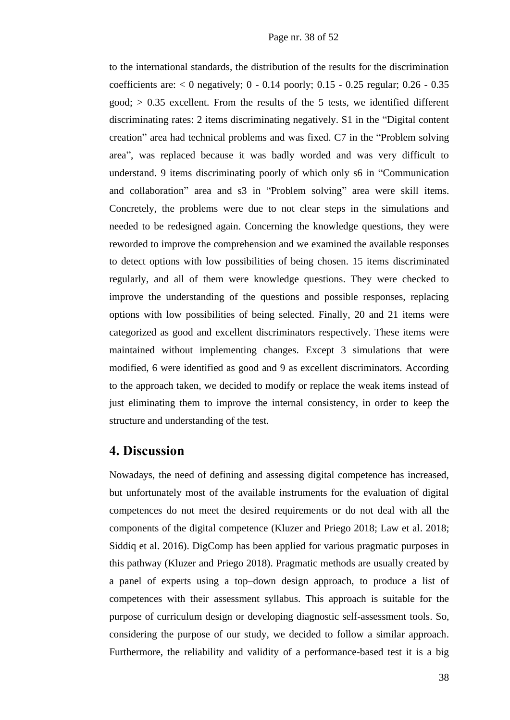to the international standards, the distribution of the results for the discrimination coefficients are:  $< 0$  negatively;  $0 - 0.14$  poorly;  $0.15 - 0.25$  regular;  $0.26 - 0.35$  $good; > 0.35$  excellent. From the results of the 5 tests, we identified different discriminating rates: 2 items discriminating negatively. S1 in the "Digital content creation" area had technical problems and was fixed. C7 in the "Problem solving area", was replaced because it was badly worded and was very difficult to understand. 9 items discriminating poorly of which only s6 in "Communication and collaboration" area and s3 in "Problem solving" area were skill items. Concretely, the problems were due to not clear steps in the simulations and needed to be redesigned again. Concerning the knowledge questions, they were reworded to improve the comprehension and we examined the available responses to detect options with low possibilities of being chosen. 15 items discriminated regularly, and all of them were knowledge questions. They were checked to improve the understanding of the questions and possible responses, replacing options with low possibilities of being selected. Finally, 20 and 21 items were categorized as good and excellent discriminators respectively. These items were maintained without implementing changes. Except 3 simulations that were modified, 6 were identified as good and 9 as excellent discriminators. According to the approach taken, we decided to modify or replace the weak items instead of just eliminating them to improve the [internal consistency,](https://en.wikipedia.org/wiki/Internal_consistency) in order to keep the structure and understanding of the test.

### **4. Discussion**

Nowadays, the need of defining and assessing digital competence has increased, but unfortunately most of the available instruments for the evaluation of digital competences do not meet the desired requirements or do not deal with all the components of the digital competence (Kluzer and Priego 2018; Law et al. 2018; Siddiq et al. 2016). DigComp has been applied for various pragmatic purposes in this pathway (Kluzer and Priego 2018). Pragmatic methods are usually created by a panel of experts using a top–down design approach, to produce a list of competences with their assessment syllabus. This approach is suitable for the purpose of curriculum design or developing diagnostic self-assessment tools. So, considering the purpose of our study, we decided to follow a similar approach. Furthermore, the reliability and validity of a performance-based test it is a big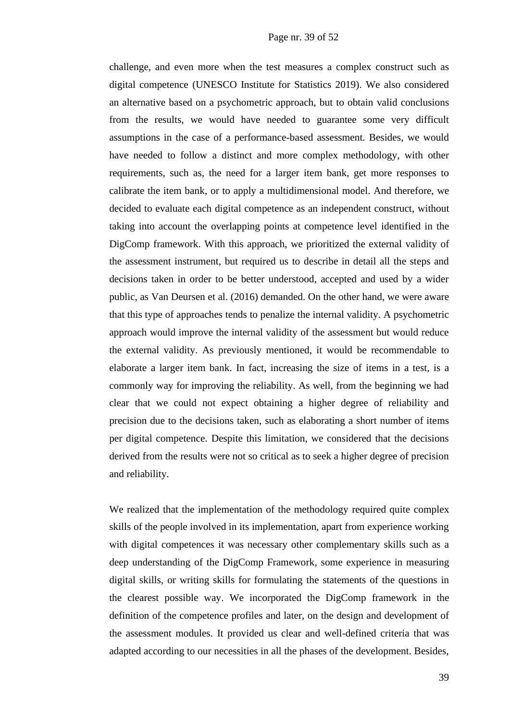challenge, and even more when the test measures a complex construct such as digital competence (UNESCO Institute for Statistics 2019). We also considered an alternative based on a psychometric approach, but to obtain valid conclusions from the results, we would have needed to guarantee some very difficult assumptions in the case of a performance-based assessment. Besides, we would have needed to follow a distinct and more complex methodology, with other requirements, such as, the need for a larger item bank, get more responses to calibrate the item bank, or to apply a multidimensional model. And therefore, we decided to evaluate each digital competence as an independent construct, without taking into account the overlapping points at competence level identified in the DigComp framework. With this approach, we prioritized the external validity of the assessment instrument, but required us to describe in detail all the steps and decisions taken in order to be better understood, accepted and used by a wider public, as Van Deursen et al. (2016) demanded. On the other hand, we were aware that this type of approaches tends to penalize the internal validity. A psychometric approach would improve the internal validity of the assessment but would reduce the external validity. As previously mentioned, it would be recommendable to elaborate a larger item bank. In fact, increasing the size of items in a test, is a commonly way for improving the reliability. As well, from the beginning we had clear that we could not expect obtaining a higher degree of reliability and precision due to the decisions taken, such as elaborating a short number of items per digital competence. Despite this limitation, we considered that the decisions derived from the results were not so critical as to seek a higher degree of precision and reliability.

We realized that the implementation of the methodology required quite complex skills of the people involved in its implementation, apart from experience working with digital competences it was necessary other complementary skills such as a deep understanding of the DigComp Framework, some experience in measuring digital skills, or writing skills for formulating the statements of the questions in the clearest possible way. We incorporated the DigComp framework in the definition of the competence profiles and later, on the design and development of the assessment modules. It provided us clear and well-defined criteria that was adapted according to our necessities in all the phases of the development. Besides,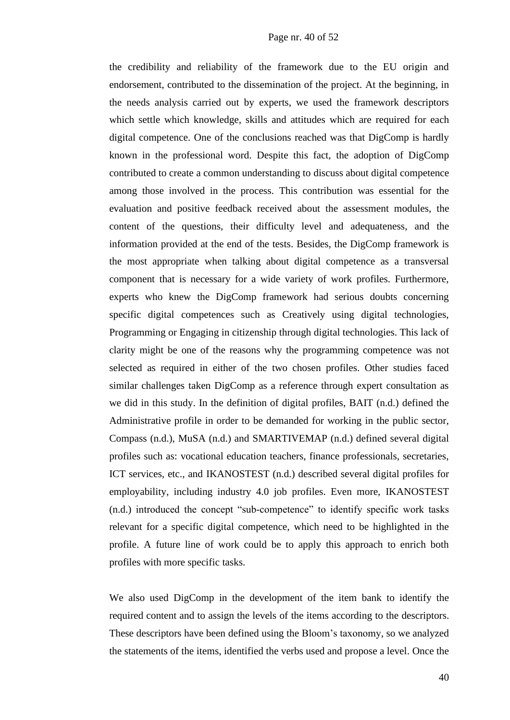the credibility and reliability of the framework due to the EU origin and endorsement, contributed to the dissemination of the project. At the beginning, in the needs analysis carried out by experts, we used the framework descriptors which settle which knowledge, skills and attitudes which are required for each digital competence. One of the conclusions reached was that DigComp is hardly known in the professional word. Despite this fact, the adoption of DigComp contributed to create a common understanding to discuss about digital competence among those involved in the process. This contribution was essential for the evaluation and positive feedback received about the assessment modules, the content of the questions, their difficulty level and adequateness, and the information provided at the end of the tests. Besides, the DigComp framework is the most appropriate when talking about digital competence as a transversal component that is necessary for a wide variety of work profiles. Furthermore, experts who knew the DigComp framework had serious doubts concerning specific digital competences such as Creatively using digital technologies, Programming or Engaging in citizenship through digital technologies. This lack of clarity might be one of the reasons why the programming competence was not selected as required in either of the two chosen profiles. Other studies faced similar challenges taken DigComp as a reference through expert consultation as we did in this study. In the definition of digital profiles, BAIT (n.d.) defined the Administrative profile in order to be demanded for working in the public sector, Compass (n.d.), MuSA (n.d.) and SMARTIVEMAP (n.d.) defined several digital profiles such as: vocational education teachers, finance professionals, secretaries, ICT services, etc., and IKANOSTEST (n.d.) described several digital profiles for employability, including industry 4.0 job profiles. Even more, IKANOSTEST (n.d.) introduced the concept "sub-competence" to identify specific work tasks relevant for a specific digital competence, which need to be highlighted in the profile. A future line of work could be to apply this approach to enrich both profiles with more specific tasks.

We also used DigComp in the development of the item bank to identify the required content and to assign the levels of the items according to the descriptors. These descriptors have been defined using the Bloom's taxonomy, so we analyzed the statements of the items, identified the verbs used and propose a level. Once the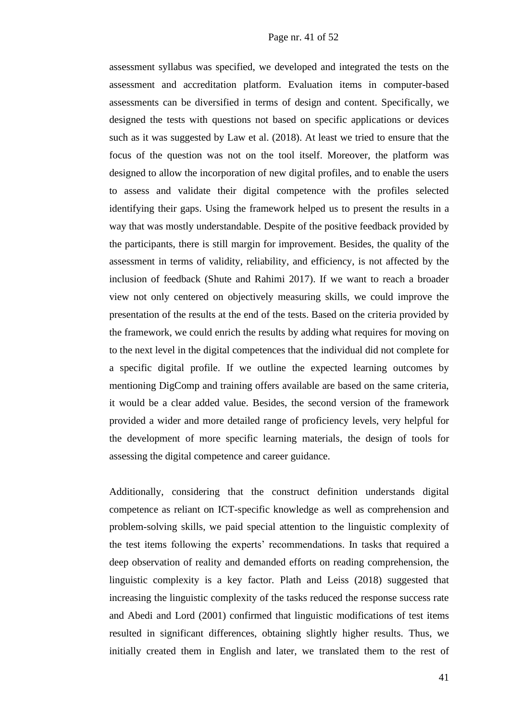assessment syllabus was specified, we developed and integrated the tests on the assessment and accreditation platform. Evaluation items in computer-based assessments can be diversified in terms of design and content. Specifically, we designed the tests with questions not based on specific applications or devices such as it was suggested by Law et al. (2018). At least we tried to ensure that the focus of the question was not on the tool itself. Moreover, the platform was designed to allow the incorporation of new digital profiles, and to enable the users to assess and validate their digital competence with the profiles selected identifying their gaps. Using the framework helped us to present the results in a way that was mostly understandable. Despite of the positive feedback provided by the participants, there is still margin for improvement. Besides, the quality of the assessment in terms of validity, reliability, and efficiency, is not affected by the inclusion of feedback (Shute and Rahimi 2017). If we want to reach a broader view not only centered on objectively measuring skills, we could improve the presentation of the results at the end of the tests. Based on the criteria provided by the framework, we could enrich the results by adding what requires for moving on to the next level in the digital competences that the individual did not complete for a specific digital profile. If we outline the expected learning outcomes by mentioning DigComp and training offers available are based on the same criteria, it would be a clear added value. Besides, the second version of the framework provided a wider and more detailed range of proficiency levels, very helpful for the development of more specific learning materials, the design of tools for assessing the digital competence and career guidance.

Additionally, considering that the construct definition understands digital competence as reliant on ICT-specific knowledge as well as comprehension and problem-solving skills, we paid special attention to the linguistic complexity of the test items following the experts' recommendations. In tasks that required a deep observation of reality and demanded efforts on reading comprehension, the linguistic complexity is a key factor. Plath and Leiss (2018) suggested that increasing the linguistic complexity of the tasks reduced the response success rate and Abedi and Lord (2001) confirmed that linguistic modifications of test items resulted in significant differences, obtaining slightly higher results. Thus, we initially created them in English and later, we translated them to the rest of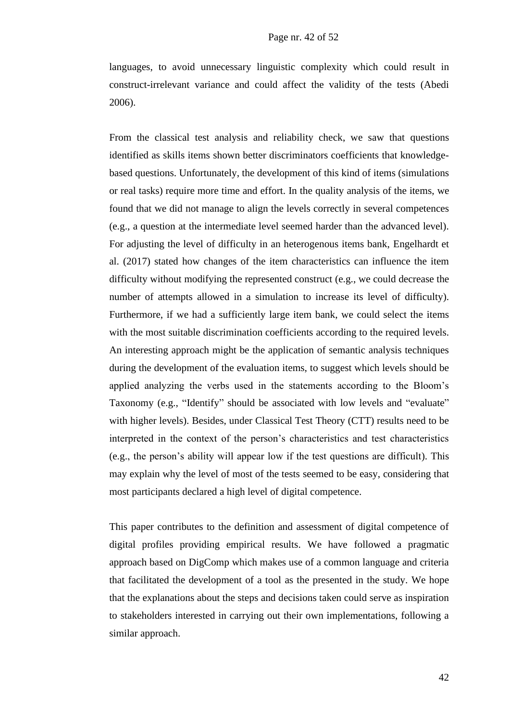languages, to avoid unnecessary linguistic complexity which could result in construct-irrelevant variance and could affect the validity of the tests (Abedi 2006).

From the classical test analysis and reliability check, we saw that questions identified as skills items shown better discriminators coefficients that knowledgebased questions. Unfortunately, the development of this kind of items (simulations or real tasks) require more time and effort. In the quality analysis of the items, we found that we did not manage to align the levels correctly in several competences (e.g., a question at the intermediate level seemed harder than the advanced level). For adjusting the level of difficulty in an heterogenous items bank, Engelhardt et al. (2017) stated how changes of the item characteristics can influence the item difficulty without modifying the represented construct (e.g., we could decrease the number of attempts allowed in a simulation to increase its level of difficulty). Furthermore, if we had a sufficiently large item bank, we could select the items with the most suitable discrimination coefficients according to the required levels. An interesting approach might be the application of semantic analysis techniques during the development of the evaluation items, to suggest which levels should be applied analyzing the verbs used in the statements according to the Bloom's Taxonomy (e.g., "Identify" should be associated with low levels and "evaluate" with higher levels). Besides, under Classical Test Theory (CTT) results need to be interpreted in the context of the person's characteristics and test characteristics (e.g., the person's ability will appear low if the test questions are difficult). This may explain why the level of most of the tests seemed to be easy, considering that most participants declared a high level of digital competence.

This paper contributes to the definition and assessment of digital competence of digital profiles providing empirical results. We have followed a pragmatic approach based on DigComp which makes use of a common language and criteria that facilitated the development of a tool as the presented in the study. We hope that the explanations about the steps and decisions taken could serve as inspiration to stakeholders interested in carrying out their own implementations, following a similar approach.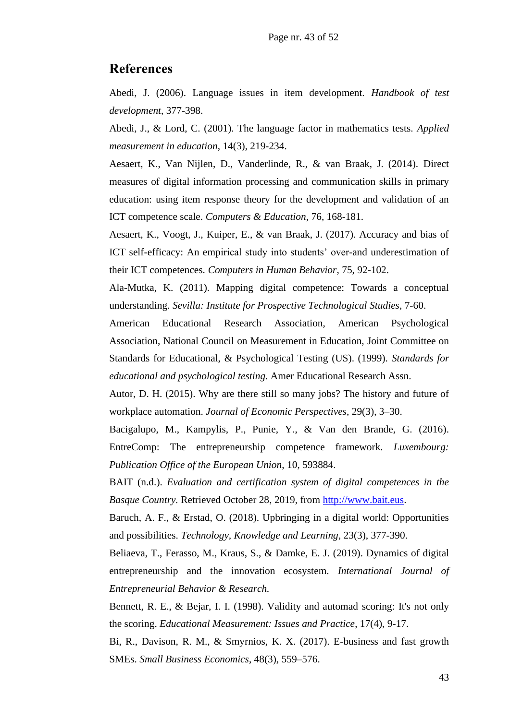### **References**

Abedi, J. (2006). Language issues in item development. *Handbook of test development*, 377-398.

Abedi, J., & Lord, C. (2001). The language factor in mathematics tests. *Applied measurement in education*, 14(3), 219-234.

Aesaert, K., Van Nijlen, D., Vanderlinde, R., & van Braak, J. (2014). Direct measures of digital information processing and communication skills in primary education: using item response theory for the development and validation of an ICT competence scale. *Computers & Education*, 76, 168-181.

Aesaert, K., Voogt, J., Kuiper, E., & van Braak, J. (2017). Accuracy and bias of ICT self-efficacy: An empirical study into students' over-and underestimation of their ICT competences. *Computers in Human Behavior*, 75, 92-102.

Ala-Mutka, K. (2011). Mapping digital competence: Towards a conceptual understanding. *Sevilla: Institute for Prospective Technological Studies*, 7-60.

American Educational Research Association, American Psychological Association, National Council on Measurement in Education, Joint Committee on Standards for Educational, & Psychological Testing (US). (1999). *Standards for educational and psychological testing*. Amer Educational Research Assn.

Autor, D. H. (2015). Why are there still so many jobs? The history and future of workplace automation. *Journal of Economic Perspectives*, 29(3), 3–30.

Bacigalupo, M., Kampylis, P., Punie, Y., & Van den Brande, G. (2016). EntreComp: The entrepreneurship competence framework. *Luxembourg: Publication Office of the European Union*, 10, 593884.

BAIT (n.d.). *Evaluation and certification system of digital competences in the Basque Country.* Retrieved October 28, 2019, from [http://www.bait.eus.](http://www.bait.eus/)

Baruch, A. F., & Erstad, O. (2018). Upbringing in a digital world: Opportunities and possibilities. *Technology, Knowledge and Learning*, 23(3), 377-390.

Beliaeva, T., Ferasso, M., Kraus, S., & Damke, E. J. (2019). Dynamics of digital entrepreneurship and the innovation ecosystem. *International Journal of Entrepreneurial Behavior & Research.*

Bennett, R. E., & Bejar, I. I. (1998). Validity and automad scoring: It's not only the scoring. *Educational Measurement: Issues and Practice*, 17(4), 9-17.

Bi, R., Davison, R. M., & Smyrnios, K. X. (2017). E-business and fast growth SMEs. *Small Business Economics*, 48(3), 559–576.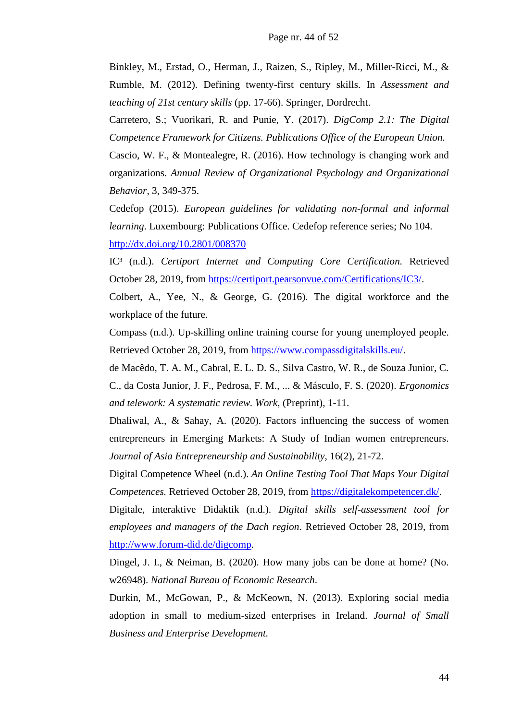Binkley, M., Erstad, O., Herman, J., Raizen, S., Ripley, M., Miller-Ricci, M., & Rumble, M. (2012). Defining twenty-first century skills. In *Assessment and teaching of 21st century skills* (pp. 17-66). Springer, Dordrecht.

Carretero, S.; Vuorikari, R. and Punie, Y. (2017). *DigComp 2.1: The Digital Competence Framework for Citizens. Publications Office of the European Union.*

Cascio, W. F., & Montealegre, R. (2016). How technology is changing work and organizations. *Annual Review of Organizational Psychology and Organizational Behavior*, 3, 349-375.

Cedefop (2015). *European guidelines for validating non-formal and informal learning*. Luxembourg: Publications Office. Cedefop reference series; No 104.

<http://dx.doi.org/10.2801/008370>

IC³ (n.d.). *Certiport Internet and Computing Core Certification.* Retrieved October 28, 2019, from [https://certiport.pearsonvue.com/Certifications/IC3/.](https://certiport.pearsonvue.com/Certifications/IC3/)

Colbert, A., Yee, N., & George, G. (2016). The digital workforce and the workplace of the future.

Compass (n.d.). Up-skilling online training course for young unemployed people. Retrieved October 28, 2019, from [https://www.compassdigitalskills.eu/.](https://www.compassdigitalskills.eu/)

de Macêdo, T. A. M., Cabral, E. L. D. S., Silva Castro, W. R., de Souza Junior, C. C., da Costa Junior, J. F., Pedrosa, F. M., ... & Másculo, F. S. (2020). *Ergonomics and telework: A systematic review. Work*, (Preprint), 1-11.

Dhaliwal, A., & Sahay, A. (2020). Factors influencing the success of women entrepreneurs in Emerging Markets: A Study of Indian women entrepreneurs. *Journal of Asia Entrepreneurship and Sustainability*, 16(2), 21-72.

Digital Competence Wheel (n.d.). *An Online Testing Tool That Maps Your Digital Competences.* Retrieved October 28, 2019, from [https://digitalekompetencer.dk/.](https://digitalekompetencer.dk/)

Digitale, interaktive Didaktik (n.d.). *Digital skills self-assessment tool for employees and managers of the Dach region*. Retrieved October 28, 2019, from [http://www.forum-did.de/digcomp.](http://www.forum-did.de/digcomp)

Dingel, J. I., & Neiman, B. (2020). How many jobs can be done at home? (No. w26948). *National Bureau of Economic Research*.

Durkin, M., McGowan, P., & McKeown, N. (2013). Exploring social media adoption in small to medium-sized enterprises in Ireland. *Journal of Small Business and Enterprise Development.*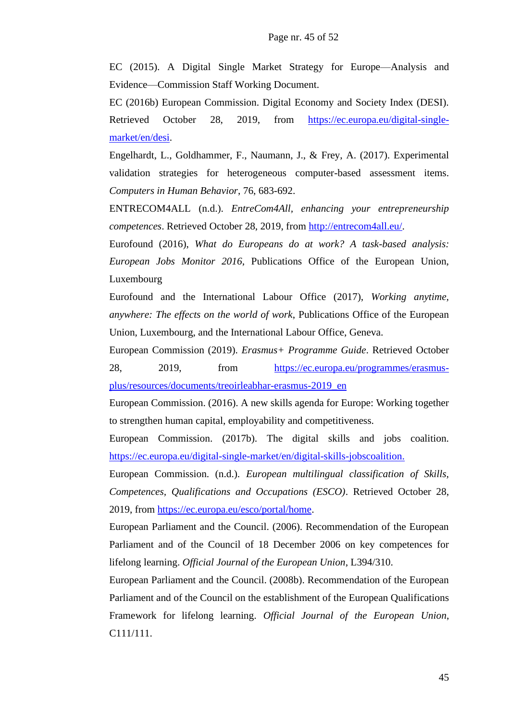EC (2015). A Digital Single Market Strategy for Europe—Analysis and Evidence—Commission Staff Working Document.

EC (2016b) European Commission. Digital Economy and Society Index (DESI). Retrieved October 28, 2019, from [https://ec.europa.eu/digital-single](https://ec.europa.eu/digital-single-market/en/desi)[market/en/desi.](https://ec.europa.eu/digital-single-market/en/desi)

Engelhardt, L., Goldhammer, F., Naumann, J., & Frey, A. (2017). Experimental validation strategies for heterogeneous computer-based assessment items. *Computers in Human Behavior*, 76, 683-692.

ENTRECOM4ALL (n.d.). *EntreCom4All, enhancing your entrepreneurship competences*. Retrieved October 28, 2019, from [http://entrecom4all.eu/.](http://entrecom4all.eu/)

Eurofound (2016), *What do Europeans do at work? A task-based analysis: European Jobs Monitor 2016*, Publications Office of the European Union, Luxembourg

Eurofound and the International Labour Office (2017), *Working anytime, anywhere: The effects on the world of work*, Publications Office of the European Union, Luxembourg, and the International Labour Office, Geneva.

European Commission (2019). *Erasmus+ Programme Guide*. Retrieved October 28, 2019, from https://ec.europa.eu/programmes/erasmusplus/resources/documents/treoirleabhar-erasmus-2019\_en

European Commission. (2016). A new skills agenda for Europe: Working together to strengthen human capital, employability and competitiveness.

European Commission. (2017b). The digital skills and jobs coalition. https://ec.europa.eu/digital-single-market/en/digital-skills-jobscoalition.

European Commission. (n.d.). *European multilingual classification of Skills, Competences, Qualifications and Occupations (ESCO)*. Retrieved October 28, 2019, from [https://ec.europa.eu/esco/portal/home.](https://ec.europa.eu/esco/portal/home)

European Parliament and the Council. (2006). Recommendation of the European Parliament and of the Council of 18 December 2006 on key competences for lifelong learning. *Official Journal of the European Union*, L394/310.

European Parliament and the Council. (2008b). Recommendation of the European Parliament and of the Council on the establishment of the European Qualifications Framework for lifelong learning. *Official Journal of the European Union*, C111/111.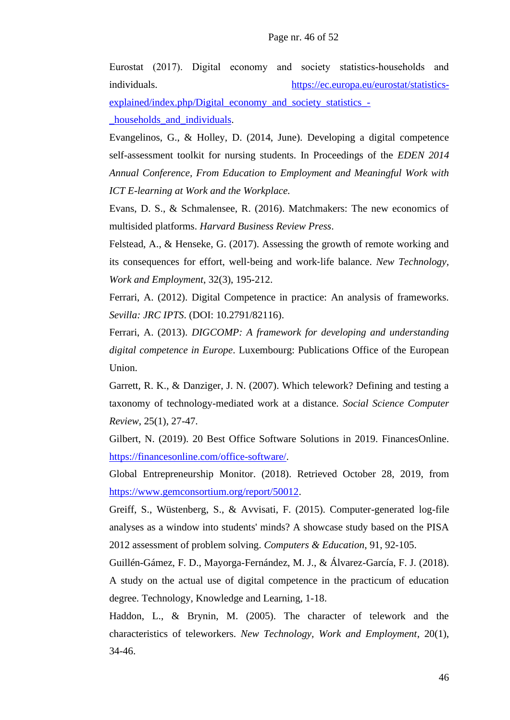Eurostat (2017). Digital economy and society statistics‐households and individuals. [https://ec.europa.eu/eurostat/statistics-](https://ec.europa.eu/eurostat/statistics-explained/index.php/Digital_economy_and_society_statistics_-_households_and_individuals)

[explained/index.php/Digital\\_economy\\_and\\_society\\_statistics\\_-](https://ec.europa.eu/eurostat/statistics-explained/index.php/Digital_economy_and_society_statistics_-_households_and_individuals)

[\\_households\\_and\\_individuals.](https://ec.europa.eu/eurostat/statistics-explained/index.php/Digital_economy_and_society_statistics_-_households_and_individuals)

Evangelinos, G., & Holley, D. (2014, June). Developing a digital competence self-assessment toolkit for nursing students. In Proceedings of the *EDEN 2014 Annual Conference, From Education to Employment and Meaningful Work with ICT E-learning at Work and the Workplace.*

Evans, D. S., & Schmalensee, R. (2016). Matchmakers: The new economics of multisided platforms. *Harvard Business Review Press*.

Felstead, A., & Henseke, G. (2017). Assessing the growth of remote working and its consequences for effort, well‐being and work‐life balance. *New Technology, Work and Employment*, 32(3), 195-212.

Ferrari, A. (2012). Digital Competence in practice: An analysis of frameworks. *Sevilla: JRC IPTS*. (DOI: 10.2791/82116).

Ferrari, A. (2013). *DIGCOMP: A framework for developing and understanding digital competence in Europe*. Luxembourg: Publications Office of the European Union.

Garrett, R. K., & Danziger, J. N. (2007). Which telework? Defining and testing a taxonomy of technology-mediated work at a distance. *Social Science Computer Review*, 25(1), 27-47.

Gilbert, N. (2019). 20 Best Office Software Solutions in 2019. FinancesOnline. [https://financesonline.com/office-software/.](https://financesonline.com/office-software/)

Global Entrepreneurship Monitor. (2018). Retrieved October 28, 2019, from [https://www.gemconsortium.org/report/50012.](https://www.gemconsortium.org/report/50012)

Greiff, S., Wüstenberg, S., & Avvisati, F. (2015). Computer-generated log-file analyses as a window into students' minds? A showcase study based on the PISA 2012 assessment of problem solving. *Computers & Education*, 91, 92-105.

Guillén-Gámez, F. D., Mayorga-Fernández, M. J., & Álvarez-García, F. J. (2018). A study on the actual use of digital competence in the practicum of education degree. Technology, Knowledge and Learning, 1-18.

Haddon, L., & Brynin, M. (2005). The character of telework and the characteristics of teleworkers. *New Technology, Work and Employment*, 20(1), 34-46.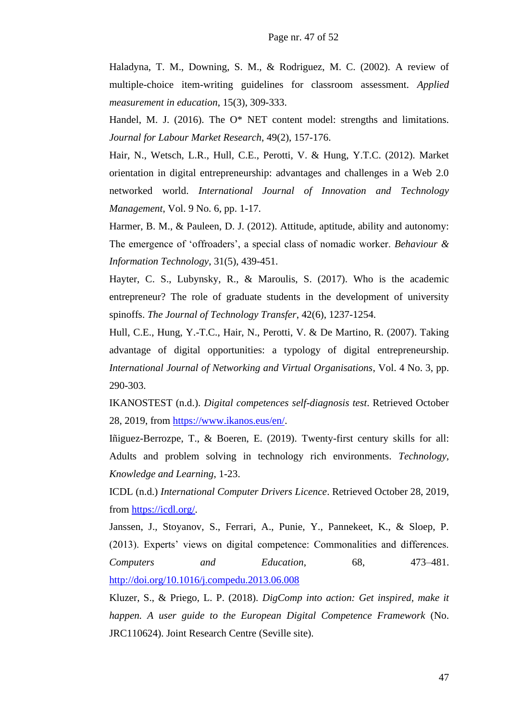Haladyna, T. M., Downing, S. M., & Rodriguez, M. C. (2002). A review of multiple-choice item-writing guidelines for classroom assessment. *Applied measurement in education*, 15(3), 309-333.

Handel, M. J. (2016). The O\* NET content model: strengths and limitations. *Journal for Labour Market Research*, 49(2), 157-176.

Hair, N., Wetsch, L.R., Hull, C.E., Perotti, V. & Hung, Y.T.C. (2012). Market orientation in digital entrepreneurship: advantages and challenges in a Web 2.0 networked world. *International Journal of Innovation and Technology Management*, Vol. 9 No. 6, pp. 1-17.

Harmer, B. M., & Pauleen, D. J. (2012). Attitude, aptitude, ability and autonomy: The emergence of 'offroaders', a special class of nomadic worker. *Behaviour & Information Technology*, 31(5), 439-451.

Hayter, C. S., Lubynsky, R., & Maroulis, S. (2017). Who is the academic entrepreneur? The role of graduate students in the development of university spinoffs. *The Journal of Technology Transfer*, 42(6), 1237-1254.

Hull, C.E., Hung, Y.-T.C., Hair, N., Perotti, V. & De Martino, R. (2007). Taking advantage of digital opportunities: a typology of digital entrepreneurship. *International Journal of Networking and Virtual Organisations*, Vol. 4 No. 3, pp. 290-303.

IKANOSTEST (n.d.). *Digital competences self-diagnosis test*. Retrieved October 28, 2019, from [https://www.ikanos.eus/en/.](https://www.ikanos.eus/en/)

Iñiguez-Berrozpe, T., & Boeren, E. (2019). Twenty-first century skills for all: Adults and problem solving in technology rich environments. *Technology, Knowledge and Learning*, 1-23.

ICDL (n.d.) *International Computer Drivers Licence*. Retrieved October 28, 2019, from https://icdl.org/.

Janssen, J., Stoyanov, S., Ferrari, A., Punie, Y., Pannekeet, K., & Sloep, P. (2013). Experts' views on digital competence: Commonalities and differences. *Computers and Education*, 68, 473–481. <http://doi.org/10.1016/j.compedu.2013.06.008>

Kluzer, S., & Priego, L. P. (2018). *DigComp into action: Get inspired, make it happen. A user guide to the European Digital Competence Framework* (No. JRC110624). Joint Research Centre (Seville site).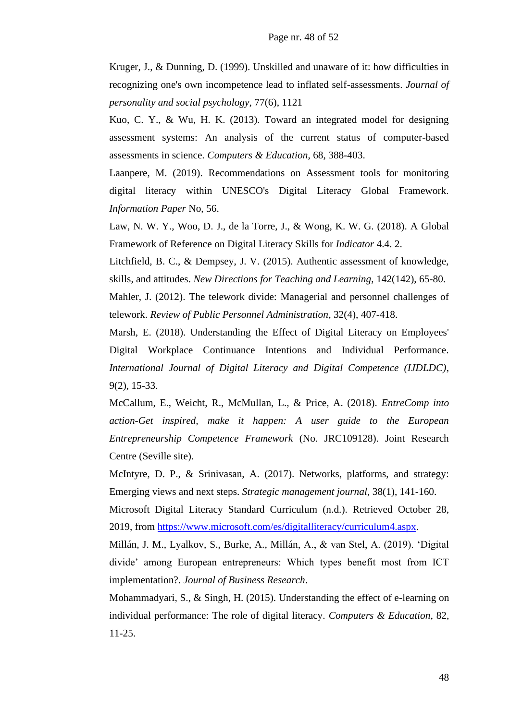Kruger, J., & Dunning, D. (1999). Unskilled and unaware of it: how difficulties in recognizing one's own incompetence lead to inflated self-assessments. *Journal of personality and social psychology*, 77(6), 1121

Kuo, C. Y., & Wu, H. K. (2013). Toward an integrated model for designing assessment systems: An analysis of the current status of computer-based assessments in science. *Computers & Education*, 68, 388-403.

Laanpere, M. (2019). Recommendations on Assessment tools for monitoring digital literacy within UNESCO's Digital Literacy Global Framework. *Information Paper* No, 56.

Law, N. W. Y., Woo, D. J., de la Torre, J., & Wong, K. W. G. (2018). A Global Framework of Reference on Digital Literacy Skills for *Indicator* 4.4. 2.

Litchfield, B. C., & Dempsey, J. V. (2015). Authentic assessment of knowledge, skills, and attitudes. *New Directions for Teaching and Learning*, 142(142), 65-80.

Mahler, J. (2012). The telework divide: Managerial and personnel challenges of telework. *Review of Public Personnel Administration*, 32(4), 407-418.

Marsh, E. (2018). Understanding the Effect of Digital Literacy on Employees' Digital Workplace Continuance Intentions and Individual Performance. *International Journal of Digital Literacy and Digital Competence (IJDLDC)*, 9(2), 15-33.

McCallum, E., Weicht, R., McMullan, L., & Price, A. (2018). *EntreComp into action-Get inspired, make it happen: A user guide to the European Entrepreneurship Competence Framework* (No. JRC109128). Joint Research Centre (Seville site).

McIntyre, D. P., & Srinivasan, A. (2017). Networks, platforms, and strategy: Emerging views and next steps. *Strategic management journal*, 38(1), 141-160.

Microsoft Digital Literacy Standard Curriculum (n.d.). Retrieved October 28, 2019, from [https://www.microsoft.com/es/digitalliteracy/curriculum4.aspx.](https://www.microsoft.com/es/digitalliteracy/curriculum4.aspx)

Millán, J. M., Lyalkov, S., Burke, A., Millán, A., & van Stel, A. (2019). 'Digital divide' among European entrepreneurs: Which types benefit most from ICT implementation?. *Journal of Business Research*.

Mohammadyari, S., & Singh, H. (2015). Understanding the effect of e-learning on individual performance: The role of digital literacy. *Computers & Education*, 82, 11-25.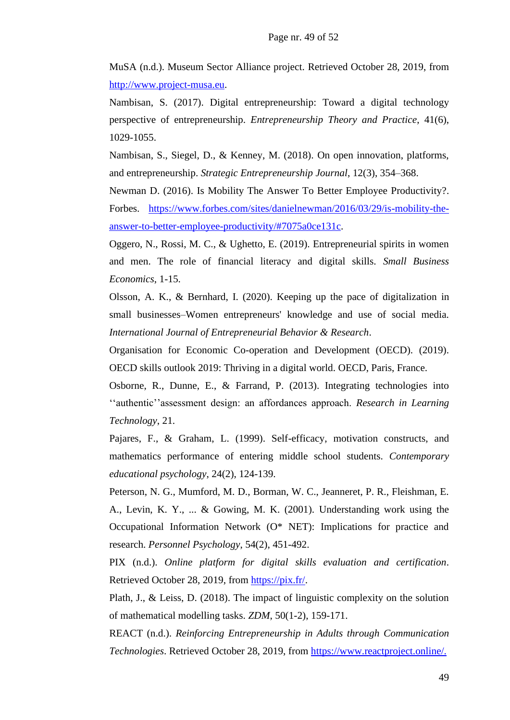MuSA (n.d.). Museum Sector Alliance project. Retrieved October 28, 2019, from [http://www.project-musa.eu.](http://www.project-musa.eu/)

Nambisan, S. (2017). Digital entrepreneurship: Toward a digital technology perspective of entrepreneurship. *Entrepreneurship Theory and Practice*, 41(6), 1029-1055.

Nambisan, S., Siegel, D., & Kenney, M. (2018). On open innovation, platforms, and entrepreneurship. *Strategic Entrepreneurship Journal*, 12(3), 354–368.

Newman D. (2016). Is Mobility The Answer To Better Employee Productivity?. Forbes. [https://www.forbes.com/sites/danielnewman/2016/03/29/is-mobility-the](https://www.forbes.com/sites/danielnewman/2016/03/29/is-mobility-the-answer-to-better-employee-productivity/#7075a0ce131c)[answer-to-better-employee-productivity/#7075a0ce131c.](https://www.forbes.com/sites/danielnewman/2016/03/29/is-mobility-the-answer-to-better-employee-productivity/#7075a0ce131c)

Oggero, N., Rossi, M. C., & Ughetto, E. (2019). Entrepreneurial spirits in women and men. The role of financial literacy and digital skills. *Small Business Economics*, 1-15.

Olsson, A. K., & Bernhard, I. (2020). Keeping up the pace of digitalization in small businesses–Women entrepreneurs' knowledge and use of social media. *International Journal of Entrepreneurial Behavior & Research*.

Organisation for Economic Co-operation and Development (OECD). (2019). OECD skills outlook 2019: Thriving in a digital world. OECD, Paris, France.

Osborne, R., Dunne, E., & Farrand, P. (2013). Integrating technologies into ''authentic''assessment design: an affordances approach. *Research in Learning Technology*, 21.

Pajares, F., & Graham, L. (1999). Self-efficacy, motivation constructs, and mathematics performance of entering middle school students. *Contemporary educational psychology*, 24(2), 124-139.

Peterson, N. G., Mumford, M. D., Borman, W. C., Jeanneret, P. R., Fleishman, E. A., Levin, K. Y., ... & Gowing, M. K. (2001). Understanding work using the Occupational Information Network (O\* NET): Implications for practice and research. *Personnel Psychology*, 54(2), 451-492.

PIX (n.d.). *Online platform for digital skills evaluation and certification*. Retrieved October 28, 2019, from [https://pix.fr/.](https://pix.fr/)

Plath, J., & Leiss, D. (2018). The impact of linguistic complexity on the solution of mathematical modelling tasks. *ZDM*, 50(1-2), 159-171.

REACT (n.d.). *Reinforcing Entrepreneurship in Adults through Communication Technologies*. Retrieved October 28, 2019, from [https://www.reactproject.online/.](https://www.reactproject.online/)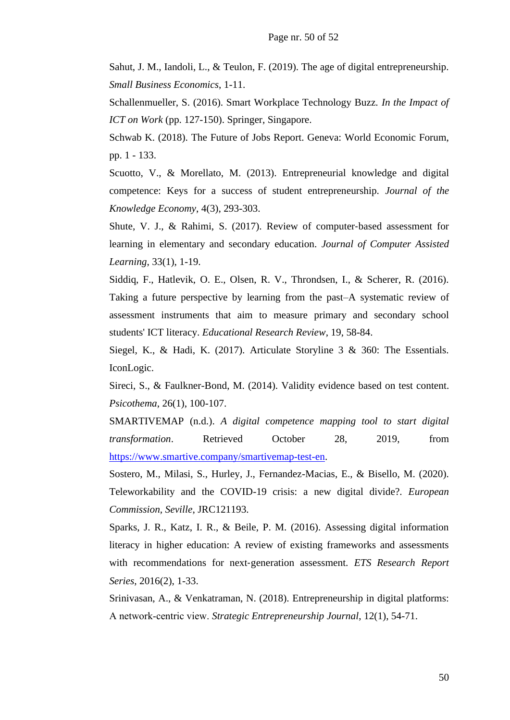Sahut, J. M., Iandoli, L., & Teulon, F. (2019). The age of digital entrepreneurship. *Small Business Economics*, 1-11.

Schallenmueller, S. (2016). Smart Workplace Technology Buzz. *In the Impact of ICT on Work* (pp. 127-150). Springer, Singapore.

Schwab K. (2018). The Future of Jobs Report. Geneva: World Economic Forum, pp. 1 - 133.

Scuotto, V., & Morellato, M. (2013). Entrepreneurial knowledge and digital competence: Keys for a success of student entrepreneurship. *Journal of the Knowledge Economy*, 4(3), 293-303.

Shute, V. J., & Rahimi, S. (2017). Review of computer-based assessment for learning in elementary and secondary education. *Journal of Computer Assisted Learning*, 33(1), 1-19.

Siddiq, F., Hatlevik, O. E., Olsen, R. V., Throndsen, I., & Scherer, R. (2016). Taking a future perspective by learning from the past–A systematic review of assessment instruments that aim to measure primary and secondary school students' ICT literacy. *Educational Research Review*, 19, 58-84.

Siegel, K., & Hadi, K. (2017). Articulate Storyline 3 & 360: The Essentials. IconLogic.

Sireci, S., & Faulkner-Bond, M. (2014). Validity evidence based on test content. *Psicothema*, 26(1), 100-107.

SMARTIVEMAP (n.d.). *A digital competence mapping tool to start digital transformation*. Retrieved October 28, 2019, from [https://www.smartive.company/smartivemap-test-en.](https://www.smartive.company/smartivemap-test-en)

Sostero, M., Milasi, S., Hurley, J., Fernandez-Macias, E., & Bisello, M. (2020). Teleworkability and the COVID-19 crisis: a new digital divide?. *European Commission, Seville*, JRC121193.

Sparks, J. R., Katz, I. R., & Beile, P. M. (2016). Assessing digital information literacy in higher education: A review of existing frameworks and assessments with recommendations for next‐generation assessment. *ETS Research Report Series*, 2016(2), 1-33.

Srinivasan, A., & Venkatraman, N. (2018). Entrepreneurship in digital platforms: A network‐centric view. *Strategic Entrepreneurship Journal*, 12(1), 54-71.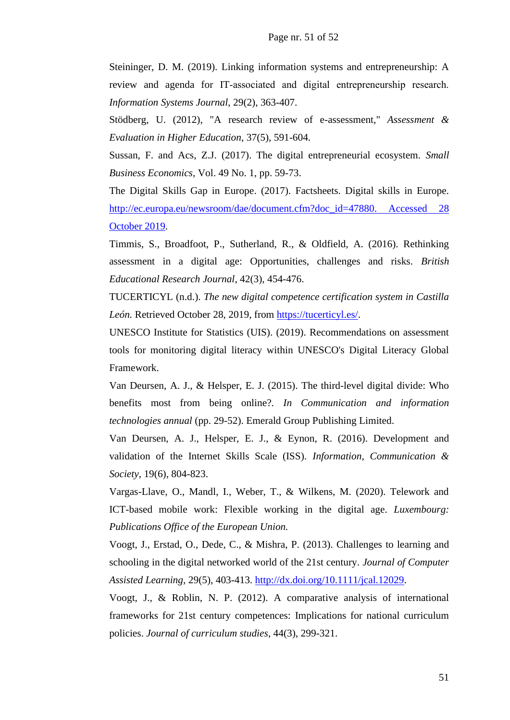Steininger, D. M. (2019). Linking information systems and entrepreneurship: A review and agenda for IT‐associated and digital entrepreneurship research. *Information Systems Journal*, 29(2), 363-407.

Stödberg, U. (2012), "A research review of e-assessment," *Assessment & Evaluation in Higher Education*, 37(5), 591-604.

Sussan, F. and Acs, Z.J. (2017). The digital entrepreneurial ecosystem. *Small Business Economics*, Vol. 49 No. 1, pp. 59-73.

The Digital Skills Gap in Europe. (2017). Factsheets. Digital skills in Europe. [http://ec.europa.eu/newsroom/dae/document.cfm?doc\\_id=47880. Accessed 28](https://ec.europa.eu/commission/sites/beta-political/files/digital-skills-factsheet-tallinn_en.pdf.%20Accessed%2028%20October%202019)  [October 2019.](https://ec.europa.eu/commission/sites/beta-political/files/digital-skills-factsheet-tallinn_en.pdf.%20Accessed%2028%20October%202019)

Timmis, S., Broadfoot, P., Sutherland, R., & Oldfield, A. (2016). Rethinking assessment in a digital age: Opportunities, challenges and risks. *British Educational Research Journal*, 42(3), 454-476.

TUCERTICYL (n.d.). *The new digital competence certification system in Castilla*  León. Retrieved October 28, 2019, from [https://tucerticyl.es/.](https://tucerticyl.es/)

UNESCO Institute for Statistics (UIS). (2019). Recommendations on assessment tools for monitoring digital literacy within UNESCO's Digital Literacy Global Framework.

Van Deursen, A. J., & Helsper, E. J. (2015). The third-level digital divide: Who benefits most from being online?. *In Communication and information technologies annual* (pp. 29-52). Emerald Group Publishing Limited.

Van Deursen, A. J., Helsper, E. J., & Eynon, R. (2016). Development and validation of the Internet Skills Scale (ISS). *Information, Communication & Society*, 19(6), 804-823.

Vargas-Llave, O., Mandl, I., Weber, T., & Wilkens, M. (2020). Telework and ICT-based mobile work: Flexible working in the digital age. *Luxembourg: Publications Office of the European Union.*

Voogt, J., Erstad, O., Dede, C., & Mishra, P. (2013). Challenges to learning and schooling in the digital networked world of the 21st century. *Journal of Computer Assisted Learning*, 29(5), 403-413. [http://dx.doi.org/10.1111/jcal.12029.](http://dx.doi.org/10.1111/jcal.12029)

Voogt, J., & Roblin, N. P. (2012). A comparative analysis of international frameworks for 21st century competences: Implications for national curriculum policies. *Journal of curriculum studies*, 44(3), 299-321.